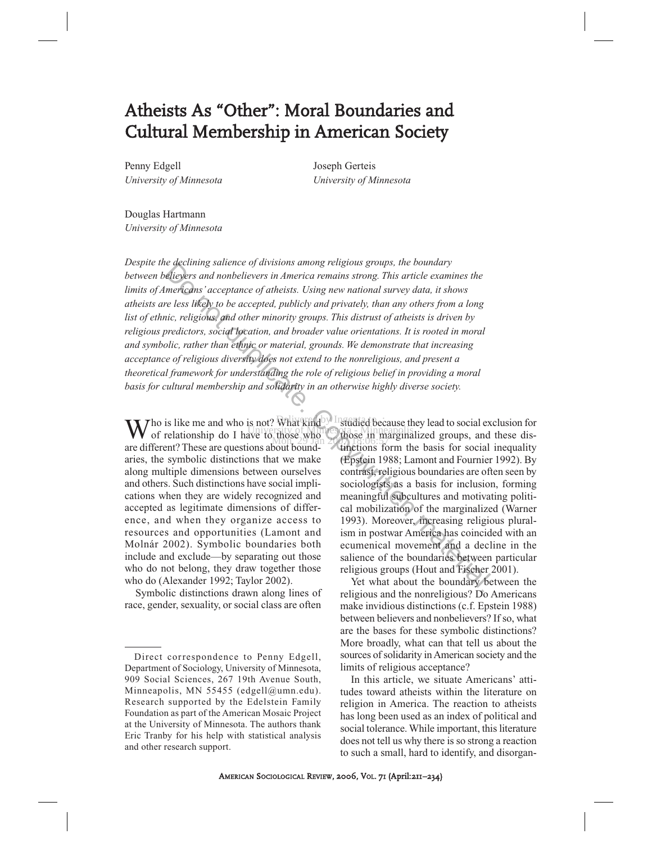# Atheists As "Other": Moral Boundaries and Cultural Membership in American Society

Penny Edgell Joseph Gerteis *University of Minnesota University of Minnesota*

Douglas Hartmann *University of Minnesota*

*Despite the declining salience of divisions among religious groups, the boundary between believers and nonbelievers in America remains strong. This article examines the limits of Americans' acceptance of atheists. Using new national survey data, it shows atheists are less likely to be accepted, publicly and privately, than any others from a long list of ethnic, religious, and other minority groups. This distrust of atheists is driven by religious predictors, social location, and broader value orientations. It is rooted in moral and symbolic, rather than ethnic or material, grounds. We demonstrate that increasing acceptance of religious diversity does not extend to the nonreligious, and present a theoretical framework for understanding the role of religious belief in providing a moral basis for cultural membership and solidarity in an otherwise highly diverse society.* decreases a more and who is not determing simula. The content of a system of equivers and nonbelivers in America remains strong. This article examines the mericans' acceptance of atheists. Using new national survey data, i

 $\mathbf{W}$ ho is like me and who is not? What kindby Instituted becomes in m<br>of relationship do I have to those when  $\mathbb{S}$  those in m **V** of relationship do I have to those who are different? These are questions about bound-<br>are different? These are questions about boundaries, the symbolic distinctions that we make along multiple dimensions between ourselves and others. Such distinctions have social implications when they are widely recognized and accepted as legitimate dimensions of difference, and when they organize access to resources and opportunities (Lamont and Molnár 2002). Symbolic boundaries both include and exclude—by separating out those who do not belong, they draw together those who do (Alexander 1992; Taylor 2002). University of Minnesota - Minneapolis

Symbolic distinctions drawn along lines of race, gender, sexuality, or social class are often studied because they lead to social exclusion for those in marginalized groups, and these distinctions form the basis for social inequality (Epstein 1988; Lamont and Fournier 1992). By contrast, religious boundaries are often seen by sociologists as a basis for inclusion, forming meaningful subcultures and motivating political mobilization of the marginalized (Warner 1993). Moreover, increasing religious pluralism in postwar America has coincided with an ecumenical movement and a decline in the salience of the boundaries between particular religious groups (Hout and Fischer 2001).

Yet what about the boundary between the religious and the nonreligious? Do Americans make invidious distinctions (c.f. Epstein 1988) between believers and nonbelievers? If so, what are the bases for these symbolic distinctions? More broadly, what can that tell us about the sources of solidarity in American society and the limits of religious acceptance?

In this article, we situate Americans' attitudes toward atheists within the literature on religion in America. The reaction to atheists has long been used as an index of political and social tolerance. While important, this literature does not tell us why there is so strong a reaction to such a small, hard to identify, and disorgan-

Direct correspondence to Penny Edgell, Department of Sociology, University of Minnesota, 909 Social Sciences, 267 19th Avenue South, Minneapolis, MN 55455 (edgell@umn.edu). Research supported by the Edelstein Family Foundation as part of the American Mosaic Project at the University of Minnesota. The authors thank Eric Tranby for his help with statistical analysis and other research support.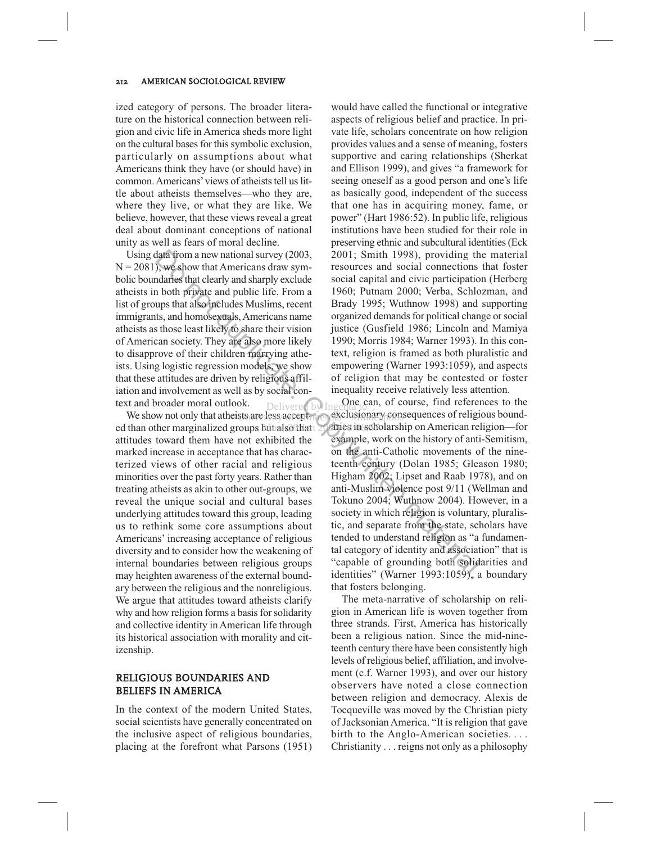ized category of persons. The broader literature on the historical connection between religion and civic life in America sheds more light on the cultural bases for this symbolic exclusion, particularly on assumptions about what Americans think they have (or should have) in common. Americans'views of atheists tell us little about atheists themselves—who they are, where they live, or what they are like. We believe, however, that these views reveal a great deal about dominant conceptions of national unity as well as fears of moral decline.

Using data from a new national survey (2003,  $N = 2081$ , we show that Americans draw symbolic boundaries that clearly and sharply exclude atheists in both private and public life. From a list of groups that also includes Muslims, recent immigrants, and homosexuals, Americans name atheists as those least likely to share their vision of American society. They are also more likely to disapprove of their children marrying atheists. Using logistic regression models, we show that these attitudes are driven by religious affiliation and involvement as well as by social context and broader moral outlook. Delivered by Ing

We show not only that atheists are less accepted than other marginalized groups but also that 20 aries in sch attitudes toward them have not exhibited the marked increase in acceptance that has characterized views of other racial and religious minorities over the past forty years. Rather than treating atheists as akin to other out-groups, we reveal the unique social and cultural bases underlying attitudes toward this group, leading us to rethink some core assumptions about Americans' increasing acceptance of religious diversity and to consider how the weakening of internal boundaries between religious groups may heighten awareness of the external boundary between the religious and the nonreligious. We argue that attitudes toward atheists clarify why and how religion forms a basis for solidarity and collective identity in American life through its historical association with morality and citizenship.

# RELIGIOUS BOUNDARIES AND BELIEFS IN AMERICA

In the context of the modern United States, social scientists have generally concentrated on the inclusive aspect of religious boundaries, placing at the forefront what Parsons (1951)

would have called the functional or integrative aspects of religious belief and practice. In private life, scholars concentrate on how religion provides values and a sense of meaning, fosters supportive and caring relationships (Sherkat and Ellison 1999), and gives "a framework for seeing oneself as a good person and one's life as basically good, independent of the success that one has in acquiring money, fame, or power" (Hart 1986:52). In public life, religious institutions have been studied for their role in preserving ethnic and subcultural identities (Eck 2001; Smith 1998), providing the material resources and social connections that foster social capital and civic participation (Herberg 1960; Putnam 2000; Verba, Schlozman, and Brady 1995; Wuthnow 1998) and supporting organized demands for political change or social justice (Gusfield 1986; Lincoln and Mamiya 1990; Morris 1984; Warner 1993). In this context, religion is framed as both pluralistic and empowering (Warner 1993:1059), and aspects of religion that may be contested or foster inequality receive relatively less attention.

One can, of course, find references to the exclusionary consequences of religious boundaries in scholarship on American religion—for example, work on the history of anti-Semitism, on the anti-Catholic movements of the nineteenth century (Dolan 1985; Gleason 1980; Higham 2002; Lipset and Raab 1978), and on anti-Muslim violence post 9/11 (Wellman and Tokuno 2004; Wuthnow 2004). However, in a society in which religion is voluntary, pluralistic, and separate from the state, scholars have tended to understand religion as "a fundamental category of identity and association" that is "capable of grounding both solidarities and identities" (Warner 1993:1059), a boundary that fosters belonging. data from a new national survey (2003, 2001; Smith 1998), providing th<br>
Aweshow that Americans draw sym-<br>
resources and social connections<br>
daries that clearly and sharply exclude<br>
social capital and civic participatio<br>
b

> The meta-narrative of scholarship on religion in American life is woven together from three strands. First, America has historically been a religious nation. Since the mid-nineteenth century there have been consistently high levels of religious belief, affiliation, and involvement (c.f. Warner 1993), and over our history observers have noted a close connection between religion and democracy. Alexis de Tocqueville was moved by the Christian piety of Jacksonian America. "It is religion that gave birth to the Anglo-American societies.... Christianity . . . reigns not only as a philosophy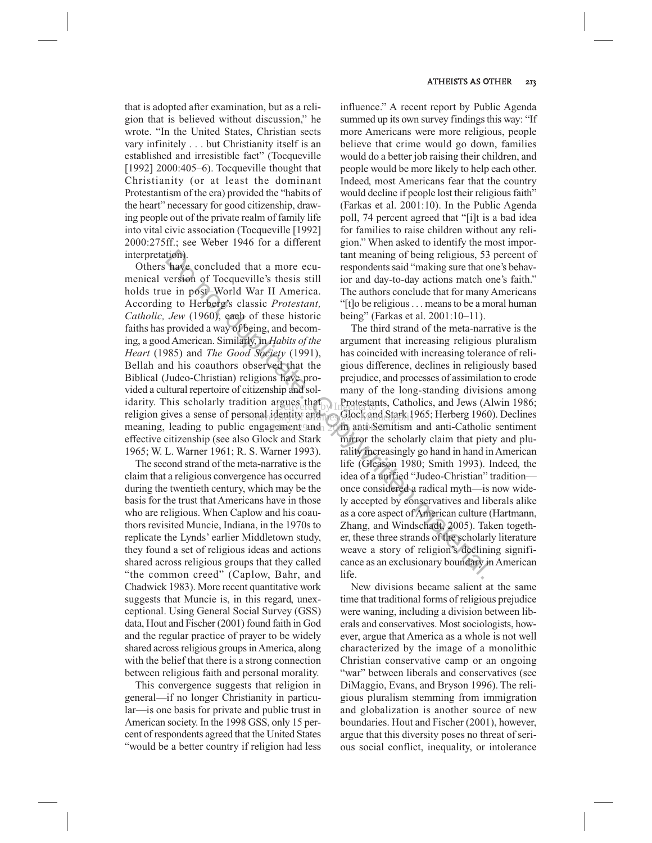that is adopted after examination, but as a religion that is believed without discussion," he wrote. "In the United States, Christian sects vary infinitely . . . but Christianity itself is an established and irresistible fact" (Tocqueville [1992] 2000:405–6). Tocqueville thought that Christianity (or at least the dominant Protestantism of the era) provided the "habits of the heart" necessary for good citizenship, drawing people out of the private realm of family life into vital civic association (Tocqueville [1992] 2000:275ff.; see Weber 1946 for a different interpretation).

Others have concluded that a more ecumenical version of Tocqueville's thesis still holds true in post–World War II America. According to Herberg's classic *Protestant, Catholic, Jew* (1960), each of these historic faiths has provided a way of being, and becoming, a good American. Similarly, in *Habits of the Heart* (1985) and *The Good Society* (1991), Bellah and his coauthors observed that the Biblical (Judeo-Christian) religions have provided a cultural repertoire of citizenship and solidarity. This scholarly tradition argues that Delivered the Contract of religion gives a sense of personal identity and resolutional Stark 1 meaning, leading to public engagement and 20 in anti-Sen effective citizenship (see also Glock and Stark 1965; W. L. Warner 1961; R. S. Warner 1993).

The second strand of the meta-narrative is the claim that a religious convergence has occurred during the twentieth century, which may be the basis for the trust that Americans have in those who are religious. When Caplow and his coauthors revisited Muncie, Indiana, in the 1970s to replicate the Lynds' earlier Middletown study, they found a set of religious ideas and actions shared across religious groups that they called "the common creed" (Caplow, Bahr, and Chadwick 1983). More recent quantitative work suggests that Muncie is, in this regard, unexceptional. Using General Social Survey (GSS) data, Hout and Fischer (2001) found faith in God and the regular practice of prayer to be widely shared across religious groups in America, along with the belief that there is a strong connection between religious faith and personal morality.

This convergence suggests that religion in general—if no longer Christianity in particular—is one basis for private and public trust in American society. In the 1998 GSS, only 15 percent of respondents agreed that the United States "would be a better country if religion had less

influence." A recent report by Public Agenda summed up its own survey findings this way: "If more Americans were more religious, people believe that crime would go down, families would do a better job raising their children, and people would be more likely to help each other. Indeed, most Americans fear that the country would decline if people lost their religious faith" (Farkas et al. 2001:10). In the Public Agenda poll, 74 percent agreed that "[i]t is a bad idea for families to raise children without any religion." When asked to identify the most important meaning of being religious, 53 percent of respondents said "making sure that one's behavior and day-to-day actions match one's faith." The authors conclude that for many Americans "[t]o be religious . . . means to be a moral human" being" (Farkas et al. 2001:10–11).

The third strand of the meta-narrative is the argument that increasing religious pluralism has coincided with increasing tolerance of religious difference, declines in religiously based prejudice, and processes of assimilation to erode many of the long-standing divisions among Protestants, Catholics, and Jews (Alwin 1986; Glock and Stark 1965; Herberg 1960). Declines in anti-Semitism and anti-Catholic sentiment mirror the scholarly claim that piety and plurality increasingly go hand in hand in American life (Gleason 1980; Smith 1993). Indeed, the idea of a unified "Judeo-Christian" tradition once considered a radical myth—is now widely accepted by conservatives and liberals alike as a core aspect of American culture (Hartmann, Zhang, and Windschadt, 2005). Taken together, these three strands of the scholarly literature weave a story of religion's declining significance as an exclusionary boundary in American life. tiom)<br>
thank concluded that a more counter and the making surface charge<br>
version of Tocqueville's thesis still ior and day-to-day actions math o<br>
ie in post-World War II America. The authors conclude that for many<br>
to He

> New divisions became salient at the same time that traditional forms of religious prejudice were waning, including a division between liberals and conservatives. Most sociologists, however, argue that America as a whole is not well characterized by the image of a monolithic Christian conservative camp or an ongoing "war" between liberals and conservatives (see DiMaggio, Evans, and Bryson 1996). The religious pluralism stemming from immigration and globalization is another source of new boundaries. Hout and Fischer (2001), however, argue that this diversity poses no threat of serious social conflict, inequality, or intolerance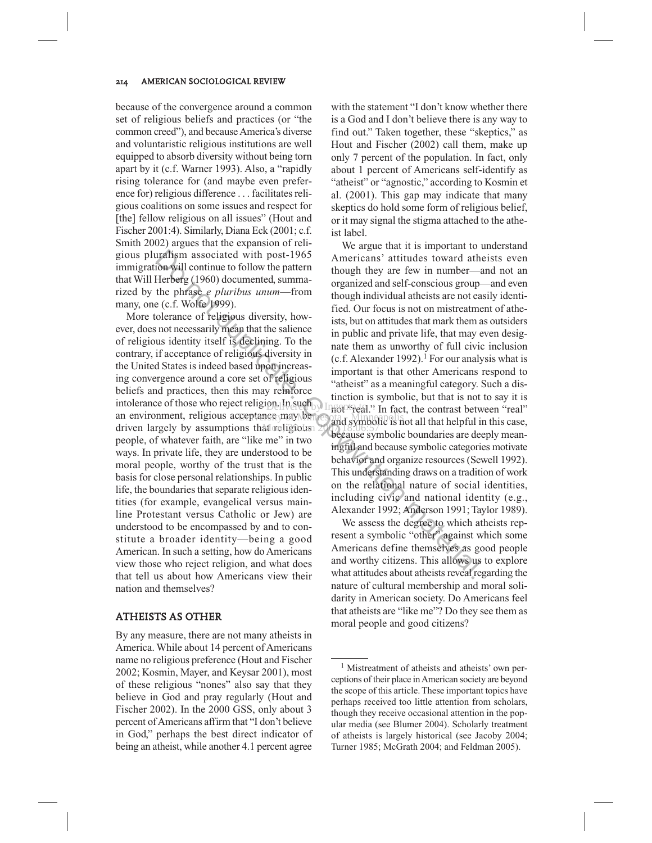because of the convergence around a common set of religious beliefs and practices (or "the common creed"), and because America's diverse and voluntaristic religious institutions are well equipped to absorb diversity without being torn apart by it (c.f. Warner 1993). Also, a "rapidly rising tolerance for (and maybe even preference for) religious difference . . . facilitates religious coalitions on some issues and respect for [the] fellow religious on all issues" (Hout and Fischer 2001:4). Similarly, Diana Eck (2001; c.f. Smith 2002) argues that the expansion of religious pluralism associated with post-1965 immigration will continue to follow the pattern that Will Herberg (1960) documented, summarized by the phrase *e pluribus unum*—from many, one (c.f. Wolfe 1999).

More tolerance of religious diversity, however, does not necessarily mean that the salience of religious identity itself is declining. To the contrary, if acceptance of religious diversity in the United States is indeed based upon increasing convergence around a core set of religious beliefs and practices, then this may reinforce intolerance of those who reject religion. In such an environment, religious acceptance may be not teat. In fact driven largely by assumptions that religious  $296.57$ people, of whatever faith, are "like me" in two ways. In private life, they are understood to be moral people, worthy of the trust that is the basis for close personal relationships. In public life, the boundaries that separate religious identities (for example, evangelical versus mainline Protestant versus Catholic or Jew) are understood to be encompassed by and to constitute a broader identity—being a good American. In such a setting, how do Americans view those who reject religion, and what does that tell us about how Americans view their nation and themselves? Trailism associated with post-1965<br>
Comparison at the particular collow the particular collow the particular comparison and self-consistion<br>
derberg (1960) documented, summa-from<br>
the phrase *e pluribus unum*—from<br>
the ph

## ATHEISTS AS OTHER

By any measure, there are not many atheists in America. While about 14 percent of Americans name no religious preference (Hout and Fischer 2002; Kosmin, Mayer, and Keysar 2001), most of these religious "nones" also say that they believe in God and pray regularly (Hout and Fischer 2002). In the 2000 GSS, only about 3 percent of Americans affirm that "I don't believe in God," perhaps the best direct indicator of being an atheist, while another 4.1 percent agree with the statement "I don't know whether there is a God and I don't believe there is any way to find out." Taken together, these "skeptics," as Hout and Fischer (2002) call them, make up only 7 percent of the population. In fact, only about 1 percent of Americans self-identify as "atheist" or "agnostic," according to Kosmin et al. (2001). This gap may indicate that many skeptics do hold some form of religious belief, or it may signal the stigma attached to the atheist label.

We argue that it is important to understand Americans' attitudes toward atheists even though they are few in number—and not an organized and self-conscious group—and even though individual atheists are not easily identified. Our focus is not on mistreatment of atheists, but on attitudes that mark them as outsiders in public and private life, that may even designate them as unworthy of full civic inclusion  $(c.f. Alexander 1992).$ <sup>1</sup> For our analysis what is important is that other Americans respond to "atheist" as a meaningful category. Such a distinction is symbolic, but that is not to say it is **OD In Such** in *Ingenta* real." In fact, the contrast between "real" and symbolic is not all that helpful in this case, because symbolic boundaries are deeply meaningful and because symbolic categories motivate behavior and organize resources (Sewell 1992). This understanding draws on a tradition of work on the relational nature of social identities, including civic and national identity (e.g., Alexander 1992; Anderson 1991; Taylor 1989).

> We assess the degree to which atheists represent a symbolic "other" against which some Americans define themselves as good people and worthy citizens. This allows us to explore what attitudes about atheists reveal regarding the nature of cultural membership and moral solidarity in American society. Do Americans feel that atheists are "like me"? Do they see them as moral people and good citizens?

<sup>&</sup>lt;sup>1</sup> Mistreatment of atheists and atheists' own perceptions of their place in American society are beyond the scope of this article. These important topics have perhaps received too little attention from scholars, though they receive occasional attention in the popular media (see Blumer 2004). Scholarly treatment of atheists is largely historical (see Jacoby 2004; Turner 1985; McGrath 2004; and Feldman 2005).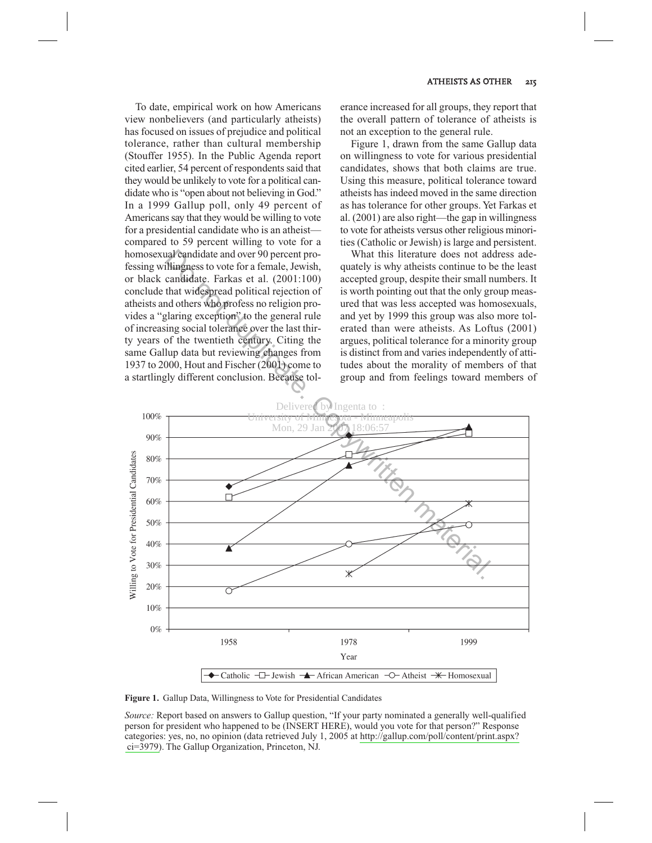To date, empirical work on how Americans view nonbelievers (and particularly atheists) has focused on issues of prejudice and political tolerance, rather than cultural membership (Stouffer 1955). In the Public Agenda report cited earlier, 54 percent of respondents said that they would be unlikely to vote for a political candidate who is "open about not believing in God." In a 1999 Gallup poll, only 49 percent of Americans say that they would be willing to vote for a presidential candidate who is an atheist compared to 59 percent willing to vote for a homosexual candidate and over 90 percent professing willingness to vote for a female, Jewish, or black candidate. Farkas et al. (2001:100) conclude that widespread political rejection of atheists and others who profess no religion provides a "glaring exception" to the general rule of increasing social tolerance over the last thirty years of the twentieth century. Citing the same Gallup data but reviewing changes from 1937 to 2000, Hout and Fischer (2001) come to a startlingly different conclusion. Because tolerance increased for all groups, they report that the overall pattern of tolerance of atheists is not an exception to the general rule.

Figure 1, drawn from the same Gallup data on willingness to vote for various presidential candidates, shows that both claims are true. Using this measure, political tolerance toward atheists has indeed moved in the same direction as has tolerance for other groups. Yet Farkas et al. (2001) are also right—the gap in willingness to vote for atheists versus other religious minorities (Catholic or Jewish) is large and persistent.

What this literature does not address adequately is why atheists continue to be the least accepted group, despite their small numbers. It is worth pointing out that the only group measured that was less accepted was homosexuals, and yet by 1999 this group was also more tolerated than were atheists. As Loftus (2001) argues, political tolerance for a minority group is distinct from and varies independently of attitudes about the morality of members of that group and from feelings toward members of



**Figure 1.** Gallup Data, Willingness to Vote for Presidential Candidates

*Source:* Report based on answers to Gallup question, "If your party nominated a generally well-qualified person for president who happened to be (INSERT HERE), would you vote for that person?" Response categories: yes, no, no opinion (data retrieved July 1, 2005 at [http://gallup.com/poll/content/print.aspx?](http://gallup.com/poll/content/print.aspx?ci=3979) [ci=3979\)](http://gallup.com/poll/content/print.aspx?ci=3979). The Gallup Organization, Princeton, NJ.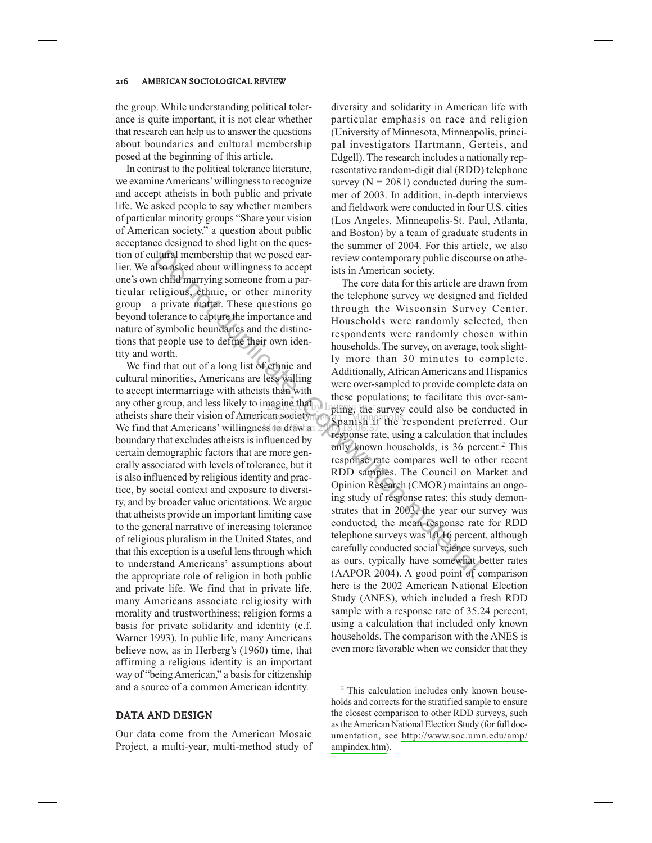the group. While understanding political tolerance is quite important, it is not clear whether that research can help us to answer the questions about boundaries and cultural membership posed at the beginning of this article.

In contrast to the political tolerance literature, we examine Americans'willingness to recognize and accept atheists in both public and private life. We asked people to say whether members of particular minority groups "Share your vision of American society," a question about public acceptance designed to shed light on the question of cultural membership that we posed earlier. We also asked about willingness to accept one's own child marrying someone from a particular religious, ethnic, or other minority group—a private matter. These questions go beyond tolerance to capture the importance and nature of symbolic boundaries and the distinctions that people use to define their own identity and worth.

We find that out of a long list of ethnic and cultural minorities, Americans are less willing to accept intermarriage with atheists than with any other group, and less likely to imagine that atheists share their vision of American societymes  $\lim_{n \to \infty} \lim_{n \to \infty} \lim_{n \to \infty} \frac{\log n}{n}$ We find that Americans' willingness to draw an 2007 18:06:57 boundary that excludes atheists is influenced by certain demographic factors that are more generally associated with levels of tolerance, but it is also influenced by religious identity and practice, by social context and exposure to diversity, and by broader value orientations. We argue that atheists provide an important limiting case to the general narrative of increasing tolerance of religious pluralism in the United States, and that this exception is a useful lens through which to understand Americans' assumptions about the appropriate role of religion in both public and private life. We find that in private life, many Americans associate religiosity with morality and trustworthiness; religion forms a basis for private solidarity and identity (c.f. Warner 1993). In public life, many Americans believe now, as in Herberg's (1960) time, that affirming a religious identity is an important way of "being American," a basis for citizenship and a source of a common American identity.

## DATA AND DESIGN

Our data come from the American Mosaic Project, a multi-year, multi-method study of

diversity and solidarity in American life with particular emphasis on race and religion (University of Minnesota, Minneapolis, principal investigators Hartmann, Gerteis, and Edgell). The research includes a nationally representative random-digit dial (RDD) telephone survey ( $N = 2081$ ) conducted during the summer of 2003. In addition, in-depth interviews and fieldwork were conducted in four U.S. cities (Los Angeles, Minneapolis-St. Paul, Atlanta, and Boston) by a team of graduate students in the summer of 2004. For this article, we also review contemporary public discourse on atheists in American society.

The core data for this article are drawn from the telephone survey we designed and fielded through the Wisconsin Survey Center. Households were randomly selected, then respondents were randomly chosen within households. The survey, on average, took slightly more than 30 minutes to complete. Additionally, African Americans and Hispanics were over-sampled to provide complete data on these populations; to facilitate this over-samnagine that y Institute fine survey could also be conducted in Spanish if the respondent preferred. Our response rate, using a calculation that includes only known households, is 36 percent.<sup>2</sup> This response rate compares well to other recent RDD samples. The Council on Market and Opinion Research (CMOR) maintains an ongoing study of response rates; this study demonstrates that in 2003, the year our survey was conducted, the mean response rate for RDD telephone surveys was 10.16 percent, although carefully conducted social science surveys, such as ours, typically have somewhat better rates (AAPOR 2004). A good point of comparison here is the 2002 American National Election Study (ANES), which included a fresh RDD sample with a response rate of 35.24 percent, using a calculation that included only known households. The comparison with the ANES is even more favorable when we consider that they Iteral membership that we posed ear-<br>
level so acked about willingness to accept<br>
child marrying someone from a par-<br>
eligious, ethnic, or other minority<br>
level elephone survey we designed a<br>
elephone survey we designed a

<sup>2</sup> This calculation includes only known households and corrects for the stratified sample to ensure the closest comparison to other RDD surveys, such as the American National Election Study (for full documentation, see [http://www.soc.umn.edu/amp/](http://www.soc.umn.edu/amp/ampindex.htm) [ampindex.htm\)](http://www.soc.umn.edu/amp/ampindex.htm).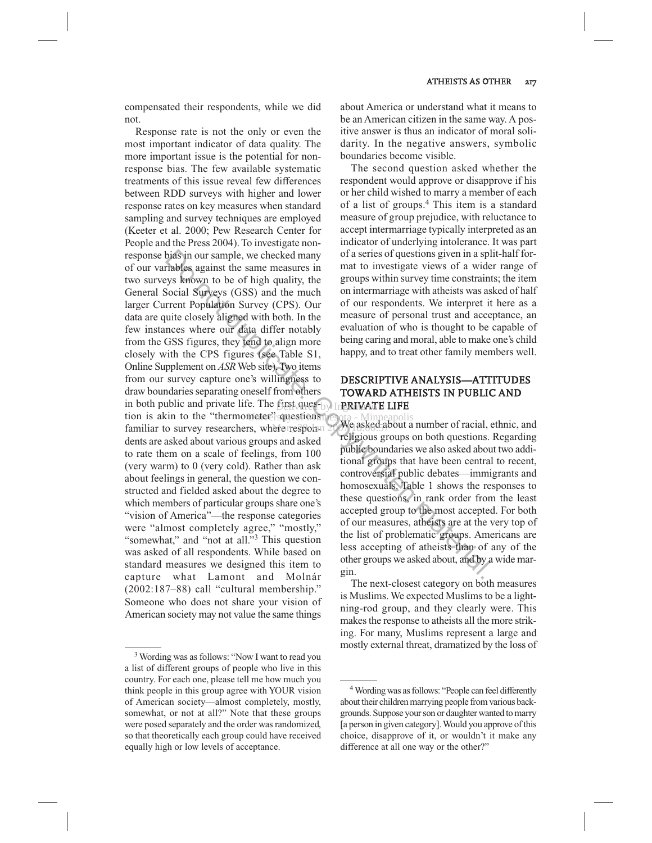compensated their respondents, while we did not.

Response rate is not the only or even the most important indicator of data quality. The more important issue is the potential for nonresponse bias. The few available systematic treatments of this issue reveal few differences between RDD surveys with higher and lower response rates on key measures when standard sampling and survey techniques are employed (Keeter et al. 2000; Pew Research Center for People and the Press 2004). To investigate nonresponse bias in our sample, we checked many of our variables against the same measures in two surveys known to be of high quality, the General Social Surveys (GSS) and the much larger Current Population Survey (CPS). Our data are quite closely aligned with both. In the few instances where our data differ notably from the GSS figures, they tend to align more closely with the CPS figures (see Table S1, Online Supplement on *ASR*Web site). Two items from our survey capture one's willingness to draw boundaries separating oneself from others in both public and private life. The first question is akin to the "thermometere' squestions resota - Minneapolis familiar to survey researchers, where respon- 2009 as ked-a dents are asked about various groups and asked to rate them on a scale of feelings, from 100 (very warm) to 0 (very cold). Rather than ask about feelings in general, the question we constructed and fielded asked about the degree to which members of particular groups share one's "vision of America"—the response categories were "almost completely agree," "mostly," "somewhat," and "not at all."<sup>3</sup> This question was asked of all respondents. While based on standard measures we designed this item to capture what Lamont and Molnár (2002:187–88) call "cultural membership." Someone who does not share your vision of American society may not value the same things bias in our sample, we checked many<br>
radios against the same measures in mat to investigate views of a wide,<br>
radios agains the same measures in mat to investigate views of a wide<br>
Social Surveys (GSS) and the much<br>
on int

about America or understand what it means to be an American citizen in the same way. A positive answer is thus an indicator of moral solidarity. In the negative answers, symbolic boundaries become visible.

The second question asked whether the respondent would approve or disapprove if his or her child wished to marry a member of each of a list of groups.<sup>4</sup> This item is a standard measure of group prejudice, with reluctance to accept intermarriage typically interpreted as an indicator of underlying intolerance. It was part of a series of questions given in a split-half format to investigate views of a wider range of groups within survey time constraints; the item on intermarriage with atheists was asked of half of our respondents. We interpret it here as a measure of personal trust and acceptance, an evaluation of who is thought to be capable of being caring and moral, able to make one's child happy, and to treat other family members well.

# DESCRIPTIVE ANALYSIS—ATTITUDES TOWARD ATHEISTS IN PUBLIC AND Dest ques-by In**gRIVATE LIFE**

ota - Minneapolis<br>We asked about a number of racial, ethnic, and religious groups on both questions. Regarding public boundaries we also asked about two additional groups that have been central to recent, controversial public debates—immigrants and homosexuals. Table 1 shows the responses to these questions, in rank order from the least accepted group to the most accepted. For both of our measures, atheists are at the very top of the list of problematic groups. Americans are less accepting of atheists than of any of the other groups we asked about, and by a wide margin.

The next-closest category on both measures is Muslims. We expected Muslims to be a lightning-rod group, and they clearly were. This makes the response to atheists all the more striking. For many, Muslims represent a large and mostly external threat, dramatized by the loss of

<sup>3</sup> Wording was as follows: "Now I want to read you a list of different groups of people who live in this country. For each one, please tell me how much you think people in this group agree with YOUR vision of American society—almost completely, mostly, somewhat, or not at all?" Note that these groups were posed separately and the order was randomized, so that theoretically each group could have received equally high or low levels of acceptance.

<sup>4</sup> Wording was as follows: "People can feel differently about their children marrying people from various backgrounds. Suppose your son or daughter wanted to marry [a person in given category]. Would you approve of this choice, disapprove of it, or wouldn't it make any difference at all one way or the other?"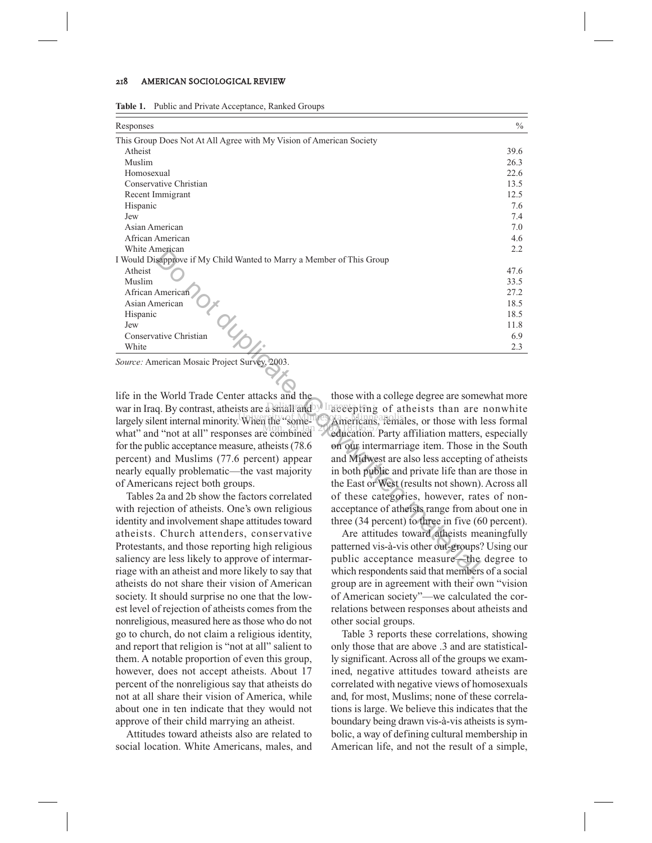#### 218 AMERICAN SOCIOLOGICAL REVIEW

|  |  |  | Table 1. Public and Private Acceptance, Ranked Groups |  |  |
|--|--|--|-------------------------------------------------------|--|--|
|--|--|--|-------------------------------------------------------|--|--|

| Responses                                                             | $\%$                                                 |
|-----------------------------------------------------------------------|------------------------------------------------------|
| This Group Does Not At All Agree with My Vision of American Society   |                                                      |
| Atheist                                                               | 39.6                                                 |
| Muslim                                                                | 26.3                                                 |
| Homosexual                                                            | 22.6                                                 |
| Conservative Christian                                                | 13.5                                                 |
| Recent Immigrant                                                      | 12.5                                                 |
| Hispanic                                                              | 7.6                                                  |
| Jew                                                                   | 7.4                                                  |
| Asian American                                                        | 7.0                                                  |
| African American                                                      | 4.6                                                  |
| White American                                                        | 2.2                                                  |
| I Would Disapprove if My Child Wanted to Marry a Member of This Group |                                                      |
| Atheist                                                               | 47.6                                                 |
| Muslim                                                                | 33.5                                                 |
| African American                                                      | 27.2                                                 |
| Asian American                                                        | 18.5                                                 |
| Hispanic                                                              | 18.5                                                 |
| dur .<br>Jew                                                          | 11.8<br>6.9                                          |
| Conservative Christian<br>White                                       | 2.3                                                  |
|                                                                       |                                                      |
| Source: American Mosaic Project Survey, 2003.                         |                                                      |
|                                                                       |                                                      |
| life in the World Trade Center attacks and the                        |                                                      |
|                                                                       | those with a college degree are somewhat more        |
| war in Iraq. By contrast, atheists are a small and                    | accepting of atheists than are nonwhite              |
| largely silent internal minority. When the "some-                     | Americans, females, or those with less formal        |
| what" and "not at all" responses are combined                         | education. Party affiliation matters, especially     |
| for the public acceptance measure, atheists (78.6)                    | on our intermarriage item. Those in the South        |
| percent) and Muslims (77.6 percent) appear                            | and Midwest are also less accepting of atheists      |
| nearly equally problematic—the vast majority                          | in both public and private life than are those in    |
| of Americans reject both groups.                                      | the East or West (results not shown). Across all     |
| Tables 2a and 2b show the factors correlated                          | of these categories, however, rates of non-          |
| with rejection of atheists. One's own religious                       | acceptance of atheists range from about one in       |
| identity and involvement shape attitudes toward                       | three $(34$ percent) to three in five $(60$ percent) |
| atheists. Church attenders, conservative                              | Are attitudes toward atheists meaningfully           |
|                                                                       |                                                      |
| Protestants, and those reporting high religious                       | patterned vis-à-vis other out-groups? Using our      |
| saliency are less likely to approve of intermar-                      | public acceptance measure—the degree to              |
| riage with an atheist and more likely to say that                     | which respondents said that members of a social      |

Tables 2a and 2b show the factors correlated with rejection of atheists. One's own religious identity and involvement shape attitudes toward atheists. Church attenders, conservative Protestants, and those reporting high religious saliency are less likely to approve of intermarriage with an atheist and more likely to say that atheists do not share their vision of American society. It should surprise no one that the lowest level of rejection of atheists comes from the nonreligious, measured here as those who do not go to church, do not claim a religious identity, and report that religion is "not at all" salient to them. A notable proportion of even this group, however, does not accept atheists. About 17 percent of the nonreligious say that atheists do not at all share their vision of America, while about one in ten indicate that they would not approve of their child marrying an atheist.

Attitudes toward atheists also are related to social location. White Americans, males, and

> Are attitudes toward atheists meaningfully patterned vis-à-vis other out-groups? Using our public acceptance measure—the degree to which respondents said that members of a social group are in agreement with their own "vision of American society"—we calculated the correlations between responses about atheists and other social groups.

> Table 3 reports these correlations, showing only those that are above .3 and are statistically significant. Across all of the groups we examined, negative attitudes toward atheists are correlated with negative views of homosexuals and, for most, Muslims; none of these correlations is large. We believe this indicates that the boundary being drawn vis-à-vis atheists is symbolic, a way of defining cultural membership in American life, and not the result of a simple,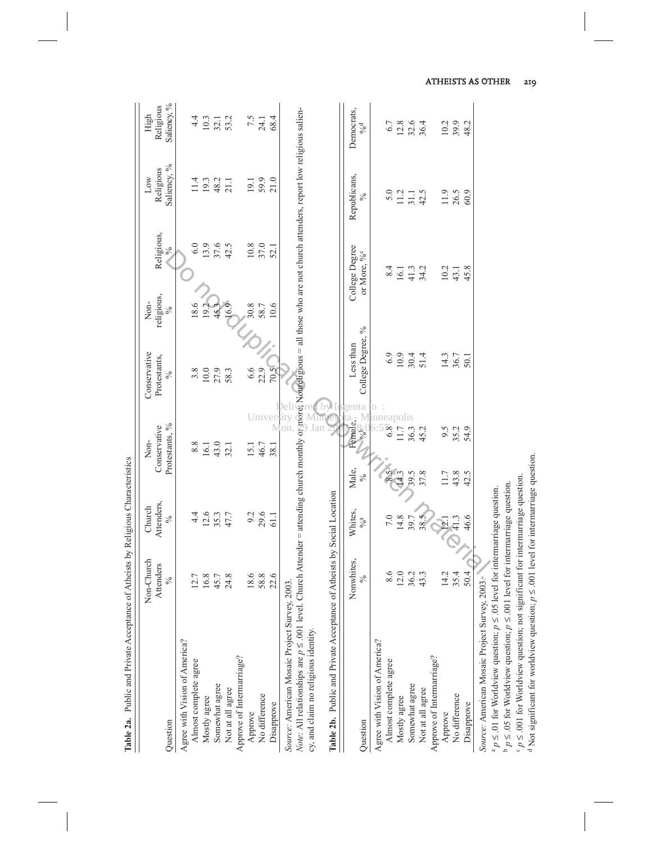|                                                                                                                                                                                                                                                                              | Non-Church       | Church      | Non-                  | Conservative      | Non-                     |                            | Low                                         | High         |
|------------------------------------------------------------------------------------------------------------------------------------------------------------------------------------------------------------------------------------------------------------------------------|------------------|-------------|-----------------------|-------------------|--------------------------|----------------------------|---------------------------------------------|--------------|
|                                                                                                                                                                                                                                                                              | Attenders        | Attenders,  | Conservative          | Protestants,      | religious, $\frac{9}{6}$ | Religious,                 | Religious                                   | Religious    |
| Question                                                                                                                                                                                                                                                                     | $\delta_{\rm Q}$ | $\%$        | Protestants, %        | $\%$              |                          | $\frac{5}{6}$              | Saliency, %                                 | Saliency, %  |
| Agree with Vision of America?                                                                                                                                                                                                                                                |                  |             |                       |                   |                          |                            |                                             |              |
| Almost complete agree                                                                                                                                                                                                                                                        | 12.7             | 4.4         | $8.8\,$               | 3.8               | 18.6                     | 6.0                        | 11.4                                        | 4.4          |
| Mostly agree                                                                                                                                                                                                                                                                 | 16.8             | 12.6        | 16.1                  | $10.0$            | 19.2                     | 13.9                       | 19.3                                        | 10.3         |
| Somewhat agree                                                                                                                                                                                                                                                               | 45.7             | 35.3        | 43.0                  | 27.9              | 45.3                     | 37.6                       | 48.2                                        | 32.1         |
| Not at all agree                                                                                                                                                                                                                                                             | œ.<br>24.        | 47.7        | 32.1                  | 58.3              | 16.9                     | 42.5                       | 21.1                                        | 53.2         |
| Approve of Intermarriage?                                                                                                                                                                                                                                                    |                  |             |                       |                   |                          |                            |                                             |              |
| Approve                                                                                                                                                                                                                                                                      | 18.6             | 9.2         | 15.1                  | 6.6               | $30.8$<br>58.7           | 10.8                       | 19.1                                        | 7.5          |
| No difference                                                                                                                                                                                                                                                                | 58.8             | 29.6        | Univer<br>46.7        | 22.9              |                          | 37.0                       | 59.9                                        | 24.1         |
| Disapprove                                                                                                                                                                                                                                                                   | 22.6             | 61.1        | 38.1                  | 20.5              | 10.6                     | 52.1                       | 21.0                                        | 68.4         |
| Source: American Mosaic Project Survey, 2003.                                                                                                                                                                                                                                |                  |             | itv<br>on,            |                   |                          |                            |                                             |              |
|                                                                                                                                                                                                                                                                              |                  |             |                       |                   |                          |                            |                                             |              |
| <i>Note:</i> All relationships are $p \le 0.001$ level. Church Attender = attending church monthly or mode Nobel glous = all those who are not church attenders, report low religious saliention and claim no religious saliention a<br>cy, and claim no religious identity. |                  |             |                       |                   |                          |                            |                                             |              |
|                                                                                                                                                                                                                                                                              |                  |             | Jan                   | b                 |                          |                            |                                             |              |
| Table 2b. Public and Private Acceptance of Atheists by Social Location                                                                                                                                                                                                       |                  |             |                       |                   |                          |                            |                                             |              |
|                                                                                                                                                                                                                                                                              | Nonwhites,       | Whites,     | emale,<br>Male,       | Less than         |                          | College Degree             | Republicans,                                | Democrats,   |
| Question                                                                                                                                                                                                                                                                     | $\delta_{\rm O}$ | $\%$ $^{a}$ | $\%$                  | College Degree, % |                          | or More, $\%^{\mathrm{c}}$ | $\%$                                        | $\%^d$       |
| Agree with Vision of America?                                                                                                                                                                                                                                                |                  |             |                       |                   |                          |                            |                                             |              |
| Almost complete agree                                                                                                                                                                                                                                                        | 8.6              | 7.0         | eapolis<br>6.8<br>8.5 | 6.9               |                          | 8.4                        | 5.0                                         | 6.7          |
| Mostly agree                                                                                                                                                                                                                                                                 | 12.0             | 14.8        | 11.7                  | 10.9              |                          |                            | $\begin{array}{c} 11.2 \\ 31.1 \end{array}$ |              |
| Somewhat agree                                                                                                                                                                                                                                                               | 36.2             | 39.7        | 36.3<br>45.2<br>39.5  | $30.4$<br>51.4    |                          | $16.1$<br>41.3             |                                             | 12.8<br>32.6 |
| Not at all agree                                                                                                                                                                                                                                                             | ્ર<br>$43$       | 38.5        | 37.8                  |                   |                          | 34.2                       | 42.5                                        | 36.4         |
| Approve of Intermarriage?                                                                                                                                                                                                                                                    |                  |             |                       |                   |                          |                            |                                             |              |
| Approve                                                                                                                                                                                                                                                                      | 14.2             | 12.1        | 11.7                  | 14.3              |                          | 10.2                       | 11.9                                        | 10.2         |
| No difference                                                                                                                                                                                                                                                                | $35.4$<br>$50.4$ | 41.3        | 9.5<br>35.2<br>43.8   | 36.7              |                          | 43.1                       | 26.5                                        | 39.9         |
| Disapprove                                                                                                                                                                                                                                                                   |                  | 46.6        | 54.9<br>42.5          | 50.1              |                          | 45.8                       | 60.9                                        | 48.2         |
| Source: American Mosaic Project Survey, 2003.                                                                                                                                                                                                                                |                  |             |                       |                   |                          |                            |                                             |              |

 $a_p \leq .01$  for Worldview question;  $p \leq .05$  level for intermarriage question.  $p \leq 0.01$  for Worldview question; *p* ≤ .05 level for intermarriage question.

 $\emph{c}$  p  $\leq$  .001 for Worldview question; not significant for intermarriage question.  $b_p \leq .05$  for Worldview question;  $p \leq .001$  level for intermarriage question. *p* ≤ .001 level for intermarriage question.  $b_p \leq .05$  for Worldview question;

 *p* ≤ .001 for Worldview question; not significant for intermarriage question. <sup>d</sup> Not significant for worldview question;  $p \leq .001$  level for intermarriage question. Not significant for worldview question; *p* ≤ .001 level for intermarriage question.

ATHEISTS AS OTHER 219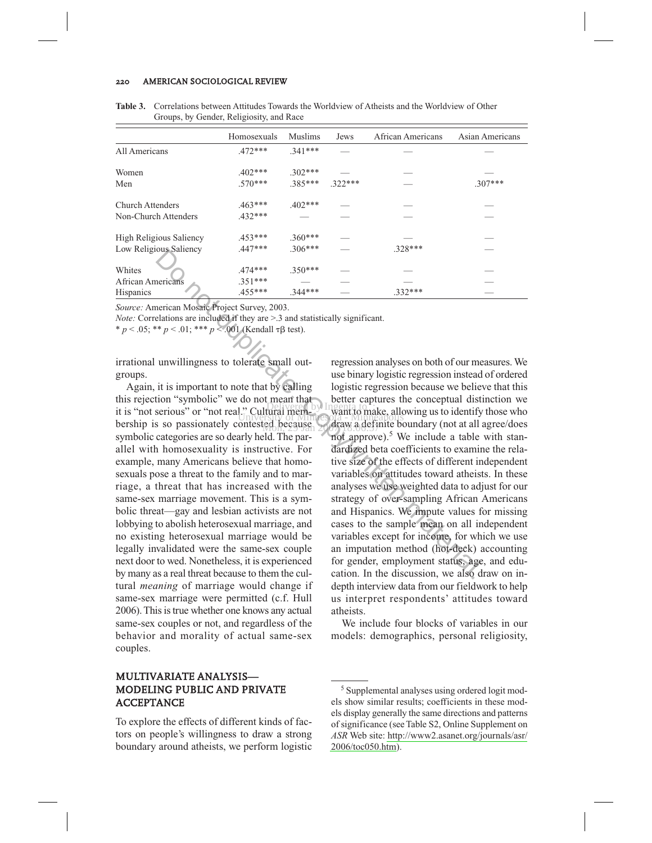#### 220—–AMERICAN SOCIOLOGICAL REVIEW

|                         | Homosexuals | <b>Muslims</b> | Jews      | African Americans | Asian Americans |
|-------------------------|-------------|----------------|-----------|-------------------|-----------------|
| All Americans           | $.472***$   | $.341***$      |           |                   |                 |
| Women                   | $.402***$   | $.302***$      |           |                   |                 |
| Men                     | $.570***$   | $.385***$      | $.322***$ |                   | $.307***$       |
| <b>Church Attenders</b> | $.463***$   | $.402***$      |           |                   |                 |
| Non-Church Attenders    | $.432***$   |                |           |                   |                 |
| High Religious Saliency | $.453***$   | $.360***$      |           |                   |                 |
| Low Religious Saliency  | $.447***$   | $.306***$      |           | $.328***$         |                 |
| Whites                  | $.474***$   | $.350***$      |           |                   |                 |
| African Americans       | $.351***$   |                |           |                   |                 |
| Hispanics               | $.455***$   | $.344***$      |           | $.332***$         |                 |

**Table 3.** Correlations between Attitudes Towards the Worldview of Atheists and the Worldview of Other Groups, by Gender, Religiosity, and Race

*Source:* American Mosaic Project Survey, 2003.

*Note:* Correlations are included if they are >.3 and statistically significant.

 $* p < .05; ** p < .01; *** p < .001$  (Kendall  $\tau \beta$  test).

irrational unwillingness to tolerate small outgroups.

Again, it is important to note that by calling this rejection "symbolic" we do not mean that it is "not serious" or "not real." Cultural mem-<br>it is "not serious" or "not real." Cultural membership is so passionately contested because symbolic categories are so dearly held. The parallel with homosexuality is instructive. For example, many Americans believe that homosexuals pose a threat to the family and to marriage, a threat that has increased with the same-sex marriage movement. This is a symbolic threat—gay and lesbian activists are not lobbying to abolish heterosexual marriage, and no existing heterosexual marriage would be legally invalidated were the same-sex couple next door to wed. Nonetheless, it is experienced by many as a real threat because to them the cultural *meaning* of marriage would change if same-sex marriage were permitted (c.f. Hull 2006). This is true whether one knows any actual same-sex couples or not, and regardless of the behavior and morality of actual same-sex couples. Mon, 29 Jan 2007 18:06:57

# MULTIVARIATE ANALYSIS— MODELING PUBLIC AND PRIVATE **ACCEPTANCE**

To explore the effects of different kinds of factors on people's willingness to draw a strong boundary around atheists, we perform logistic

regression analyses on both of our measures. We use binary logistic regression instead of ordered logistic regression because we believe that this better captures the conceptual distinction we want to make, allowing us to identify those who  $U_{\text{d}}$  direction of  $U_{\text{d}}$  and  $U_{\text{d}}$  make, anowing us to definite boundary (not at all agree/does not approve).<sup>5</sup> We include a table with standardized beta coefficients to examine the relative size of the effects of different independent variables on attitudes toward atheists. In these analyses we use weighted data to adjust for our strategy of over-sampling African Americans and Hispanics. We impute values for missing cases to the sample mean on all independent variables except for income, for which we use an imputation method (hot-deck) accounting for gender, employment status, age, and education. In the discussion, we also draw on indepth interview data from our fieldwork to help us interpret respondents' attitudes toward atheists.  $350***$ <br>
aricans<br>  $350***$ <br>
aries  $350***$ <br>
aries  $350***$ <br>
aries  $350***$ <br>
aries  $350***$ <br>
aries are included if they are 3 and statistically significant.<br>  $* p < 01; ** p < 00$  (Kendal i Thest).<br>
unwillingness to tolerate small out-<br>
un

> We include four blocks of variables in our models: demographics, personal religiosity,

<sup>5</sup> Supplemental analyses using ordered logit models show similar results; coefficients in these models display generally the same directions and patterns of significance (see Table S2, Online Supplement on *ASR* Web site: [http://www2.asanet.org/journals/asr/](http://www2.asanet.org/journals/asr/2006/toc050.htm) [2006/toc050.htm](http://www2.asanet.org/journals/asr/2006/toc050.htm)).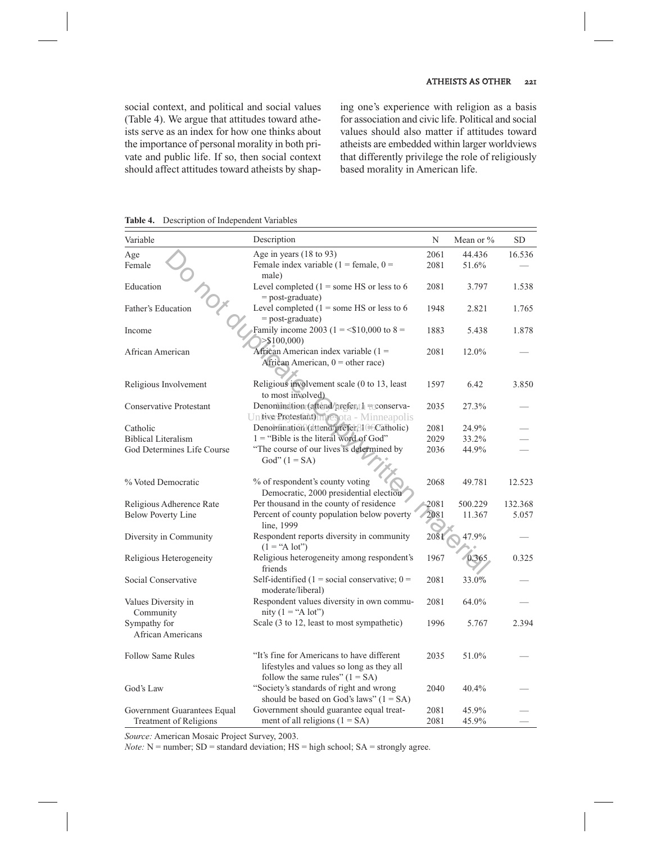social context, and political and social values (Table 4). We argue that attitudes toward atheists serve as an index for how one thinks about the importance of personal morality in both private and public life. If so, then social context should affect attitudes toward atheists by shap-

ing one's experience with religion as a basis for association and civic life. Political and social values should also matter if attitudes toward atheists are embedded within larger worldviews that differently privilege the role of religiously based morality in American life.

**Table 4.** Description of Independent Variables

| Variable                         | Description                                                                                                                  | N    | Mean or $\%$ | <b>SD</b> |
|----------------------------------|------------------------------------------------------------------------------------------------------------------------------|------|--------------|-----------|
| Age                              | Age in years $(18 \text{ to } 93)$                                                                                           | 2061 | 44.436       | 16.536    |
| Female                           | Female index variable ( $1 =$ female, $0 =$<br>male)                                                                         | 2081 | 51.6%        |           |
| $n_{O_f}$<br>Education           | Level completed $(1 =$ some HS or less to 6<br>$=$ post-graduate)                                                            | 2081 | 3.797        | 1.538     |
| Father's Education               | Level completed $(1 =$ some HS or less to 6<br>$=$ post-graduate)                                                            | 1948 | 2.821        | 1.765     |
| Income                           | Family income 2003 (1 = $$\$10,000$ to 8 =<br>> \$100,000                                                                    | 1883 | 5.438        | 1.878     |
| African American                 | African American index variable $(1 =$<br>African American, $0 =$ other race)                                                | 2081 | 12.0%        |           |
| Religious Involvement            | Religious involvement scale (0 to 13, least<br>to most involved).                                                            | 1597 | 6.42         | 3.850     |
| <b>Conservative Protestant</b>   | Denomination (attend/prefer,t1 +cconserva-<br>UntiverProtestant) in resota - Minneapolis                                     | 2035 | 27.3%        |           |
| Catholic                         | Denomination (attend prefer 81 06 Catholic)                                                                                  | 2081 | 24.9%        |           |
| <b>Biblical Literalism</b>       | $1 =$ "Bible is the literal word of God"                                                                                     | 2029 | 33.2%        |           |
| God Determines Life Course       | "The course of our lives is determined by<br>God" $(1 = SA)$                                                                 | 2036 | 44.9%        |           |
| % Voted Democratic               | % of respondent's county voting<br>Democratic, 2000 presidential election                                                    | 2068 | 49.781       | 12.523    |
| Religious Adherence Rate         | Per thousand in the county of residence                                                                                      | 2081 | 500.229      | 132.368   |
| <b>Below Poverty Line</b>        | Percent of county population below poverty<br>line, 1999                                                                     | 2081 | 11.367       | 5.057     |
| Diversity in Community           | Respondent reports diversity in community<br>$(1 = "A lot")$                                                                 | 2081 | 47.9%        |           |
| Religious Heterogeneity          | Religious heterogeneity among respondent's<br>friends                                                                        | 1967 | 0.365        | 0.325     |
| Social Conservative              | Self-identified (1 = social conservative; $0 =$<br>moderate/liberal)                                                         | 2081 | 33.0%        |           |
| Values Diversity in<br>Community | Respondent values diversity in own commu-<br>nity ( $1 = "A lot"$ )                                                          | 2081 | 64.0%        |           |
| Sympathy for                     | Scale (3 to 12, least to most sympathetic)                                                                                   | 1996 | 5.767        | 2.394     |
| <b>African Americans</b>         |                                                                                                                              |      |              |           |
| <b>Follow Same Rules</b>         | "It's fine for Americans to have different<br>lifestyles and values so long as they all<br>follow the same rules" $(1 = SA)$ | 2035 | 51.0%        |           |
| God's Law                        | "Society's standards of right and wrong<br>should be based on God's laws" $(1 = SA)$                                         | 2040 | 40.4%        |           |
| Government Guarantees Equal      | Government should guarantee equal treat-                                                                                     | 2081 | 45.9%        |           |
| <b>Treatment of Religions</b>    | ment of all religions $(1 = SA)$                                                                                             | 2081 | 45.9%        |           |

*Source:* American Mosaic Project Survey, 2003.

*Note:*  $N =$  number;  $SD =$  standard deviation;  $HS =$  high school;  $SA =$  strongly agree.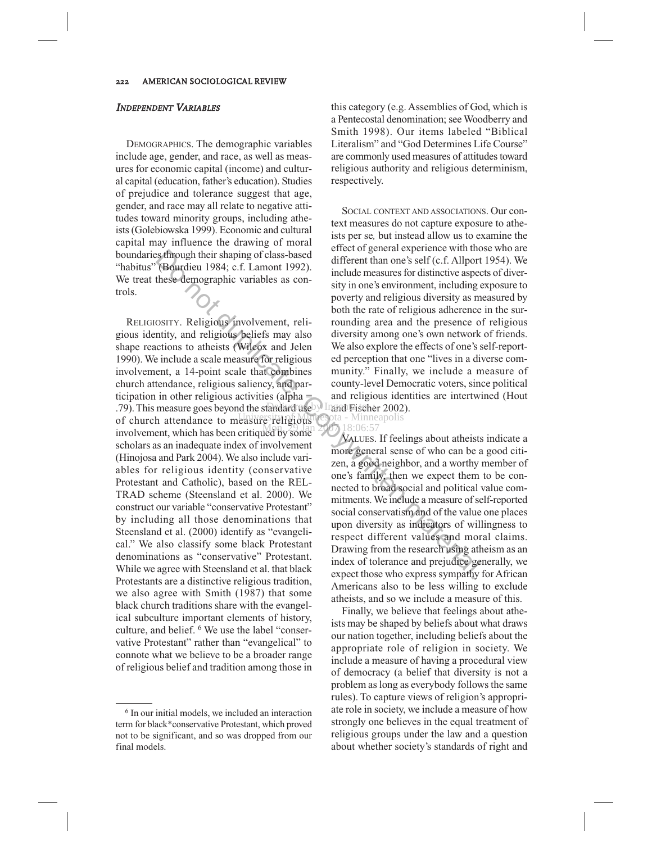#### INDEPENDENT VARIABLES

DEMOGRAPHICS. The demographic variables include age, gender, and race, as well as measures for economic capital (income) and cultural capital (education, father's education). Studies of prejudice and tolerance suggest that age, gender, and race may all relate to negative attitudes toward minority groups, including atheists (Golebiowska 1999). Economic and cultural capital may influence the drawing of moral boundaries through their shaping of class-based "habitus" (Bourdieu 1984; c.f. Lamont 1992). We treat these demographic variables as controls.

RELIGIOSITY. Religious involvement, religious identity, and religious beliefs may also shape reactions to atheists (Wilcox and Jelen 1990). We include a scale measure for religious involvement, a 14-point scale that combines church attendance, religious saliency, and participation in other religious activities (alpha = .79). This measure goes beyond the standard useby Inand Fische of church attendance to measure religious  $\text{Cpta - Minneapolis}$ involvement, which has been critiqued by some scholars as an inadequate index of involvement (Hinojosa and Park 2004). We also include variables for religious identity (conservative Protestant and Catholic), based on the REL-TRAD scheme (Steensland et al. 2000). We construct our variable "conservative Protestant" by including all those denominations that Steensland et al. (2000) identify as "evangelical." We also classify some black Protestant denominations as "conservative" Protestant. While we agree with Steensland et al. that black Protestants are a distinctive religious tradition, we also agree with Smith (1987) that some black church traditions share with the evangelical subculture important elements of history, culture, and belief. 6 We use the label "conservative Protestant" rather than "evangelical" to connote what we believe to be a broader range of religious belief and tradition among those in statinough their shaping of class-based<br>
different than one's self (c.f. All port<br>
(Bourdieu 1984; c.f. Lamont 1992).<br>
include measures for distinctive aspect<br>
these demographic variables as con-<br>
invisible measures for d

<sup>6</sup> In our initial models, we included an interaction term for black\*conservative Protestant, which proved not to be significant, and so was dropped from our final models.

this category (e.g. Assemblies of God, which is a Pentecostal denomination; see Woodberry and Smith 1998). Our items labeled "Biblical Literalism" and "God Determines Life Course" are commonly used measures of attitudes toward religious authority and religious determinism, respectively.

SOCIAL CONTEXT AND ASSOCIATIONS. Our context measures do not capture exposure to atheists per se*,* but instead allow us to examine the effect of general experience with those who are different than one's self (c.f. Allport 1954). We include measures for distinctive aspects of diversity in one's environment, including exposure to poverty and religious diversity as measured by both the rate of religious adherence in the surrounding area and the presence of religious diversity among one's own network of friends. We also explore the effects of one's self-reported perception that one "lives in a diverse community." Finally, we include a measure of county-level Democratic voters, since political and religious identities are intertwined (Hout **and Fischer 2002).**<br>ota - Minneapolis

VALUES. If feelings about atheists indicate a more general sense of who can be a good citizen, a good neighbor, and a worthy member of one's family, then we expect them to be connected to broad social and political value commitments. We include a measure of self-reported social conservatism and of the value one places upon diversity as indicators of willingness to respect different values and moral claims. Drawing from the research using atheism as an index of tolerance and prejudice generally, we expect those who express sympathy for African Americans also to be less willing to exclude atheists, and so we include a measure of this. 18:06:57

Finally, we believe that feelings about atheists may be shaped by beliefs about what draws our nation together, including beliefs about the appropriate role of religion in society. We include a measure of having a procedural view of democracy (a belief that diversity is not a problem as long as everybody follows the same rules). To capture views of religion's appropriate role in society, we include a measure of how strongly one believes in the equal treatment of religious groups under the law and a question about whether society's standards of right and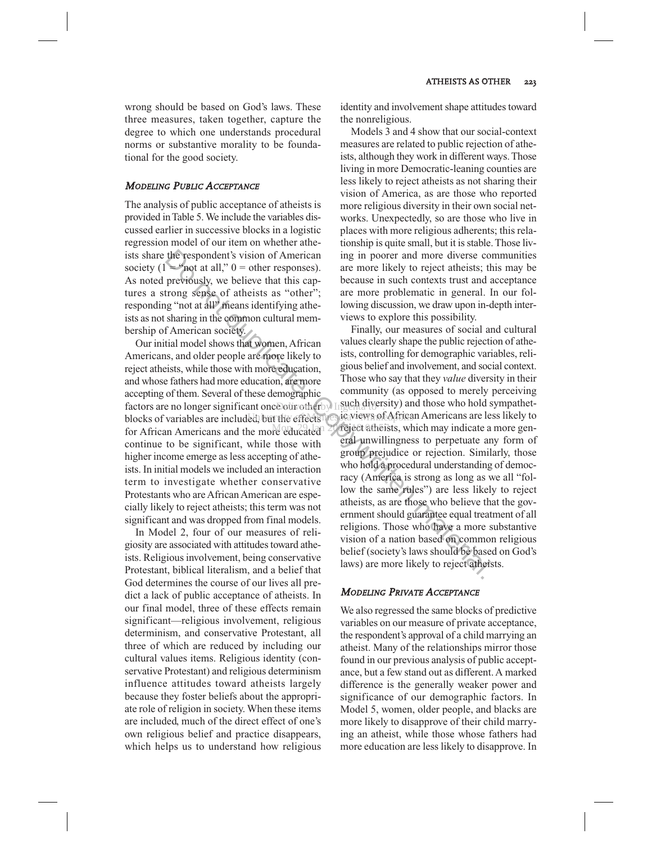wrong should be based on God's laws. These three measures, taken together, capture the degree to which one understands procedural norms or substantive morality to be foundational for the good society.

#### **MODELING PUBLIC ACCEPTANCE**

The analysis of public acceptance of atheists is provided in Table 5. We include the variables discussed earlier in successive blocks in a logistic regression model of our item on whether atheists share the respondent's vision of American society (1 = "not at all,"  $0 =$  other responses). As noted previously, we believe that this captures a strong sense of atheists as "other"; responding "not at all" means identifying atheists as not sharing in the common cultural membership of American society.

Our initial model shows that women, African Americans, and older people are more likely to reject atheists, while those with more education, and whose fathers had more education, are more accepting of them. Several of these demographic factors are no longer significant once our otherby Insuch divers blocks of variables are included, but the effects as inviews of Africa for African Americans and the more educated continue to be significant, while those with higher income emerge as less accepting of atheists. In initial models we included an interaction term to investigate whether conservative Protestants who are African American are especially likely to reject atheists; this term was not significant and was dropped from final models.

In Model 2, four of our measures of religiosity are associated with attitudes toward atheists. Religious involvement, being conservative Protestant, biblical literalism, and a belief that God determines the course of our lives all predict a lack of public acceptance of atheists. In our final model, three of these effects remain significant—religious involvement, religious determinism, and conservative Protestant, all three of which are reduced by including our cultural values items. Religious identity (conservative Protestant) and religious determinism influence attitudes toward atheists largely because they foster beliefs about the appropriate role of religion in society. When these items are included, much of the direct effect of one's own religious belief and practice disappears, which helps us to understand how religious

identity and involvement shape attitudes toward the nonreligious.

Models 3 and 4 show that our social-context measures are related to public rejection of atheists, although they work in different ways. Those living in more Democratic-leaning counties are less likely to reject atheists as not sharing their vision of America, as are those who reported more religious diversity in their own social networks. Unexpectedly, so are those who live in places with more religious adherents; this relationship is quite small, but it is stable. Those living in poorer and more diverse communities are more likely to reject atheists; this may be because in such contexts trust and acceptance are more problematic in general. In our following discussion, we draw upon in-depth interviews to explore this possibility.

Finally, our measures of social and cultural values clearly shape the public rejection of atheists, controlling for demographic variables, religious belief and involvement, and social context. Those who say that they *value* diversity in their community (as opposed to merely perceiving such diversity) and those who hold sympathetic views of African Americans are less likely to Mon, 29 Jan 20 reject atheists, which may indicate a more general unwillingness to perpetuate any form of group prejudice or rejection. Similarly, those who hold a procedural understanding of democracy (America is strong as long as we all "follow the same rules") are less likely to reject atheists, as are those who believe that the government should guarantee equal treatment of all religions. Those who have a more substantive vision of a nation based on common religious belief (society's laws should be based on God's laws) are more likely to reject atheists. the respondent's vision of American<br>
"ing in poore and more diverse co<br>
spreviously, we believe that this cap-<br>
posecause in such contexts trust and<br>
proviously, we believe that this cap-<br>
because in such contexts trust a

### MODELING PRIVATE ACCEPTANCE

We also regressed the same blocks of predictive variables on our measure of private acceptance, the respondent's approval of a child marrying an atheist. Many of the relationships mirror those found in our previous analysis of public acceptance, but a few stand out as different. A marked difference is the generally weaker power and significance of our demographic factors. In Model 5, women, older people, and blacks are more likely to disapprove of their child marrying an atheist, while those whose fathers had more education are less likely to disapprove. In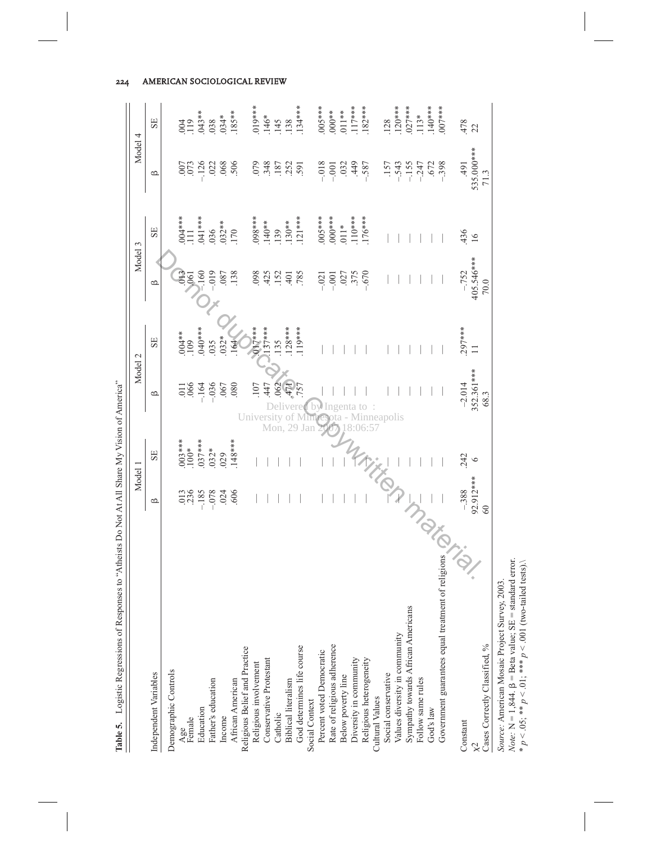|                                                                                                                                                                                                                                                                                                                                                                                                                                               | Model 1          |           | Model 2                          |                    | Model 3                                                      |                                                               | Model 4    |                                  |
|-----------------------------------------------------------------------------------------------------------------------------------------------------------------------------------------------------------------------------------------------------------------------------------------------------------------------------------------------------------------------------------------------------------------------------------------------|------------------|-----------|----------------------------------|--------------------|--------------------------------------------------------------|---------------------------------------------------------------|------------|----------------------------------|
| Independent Variables                                                                                                                                                                                                                                                                                                                                                                                                                         | $\circ$          | SE        | $\circ$                          | SE                 | $\circ$                                                      | SE                                                            | $\circ$    | SE                               |
| Demographic Controls                                                                                                                                                                                                                                                                                                                                                                                                                          |                  |           |                                  |                    |                                                              |                                                               |            |                                  |
| Age<br>Female                                                                                                                                                                                                                                                                                                                                                                                                                                 | 013              | $.003***$ | $\frac{0.01}{0.06}$              | $.004**$<br>$.109$ | $rac{13}{2}$<br>.061                                         | $.004***$                                                     | 554888     | 004                              |
| Education                                                                                                                                                                                                                                                                                                                                                                                                                                     |                  | $037***$  | $-164$                           | $.040***$          | $-160$                                                       | $041***$                                                      |            | $.043***$                        |
| Father's education                                                                                                                                                                                                                                                                                                                                                                                                                            | $-185$<br>$-078$ | $032*$    | $-0.36$                          | .035               | $-0.19$                                                      | $.036$<br>$.032**$<br>$.170$                                  |            | .038                             |
| Income                                                                                                                                                                                                                                                                                                                                                                                                                                        | .024             | 029       | .067                             | $.032*$            | .087                                                         |                                                               |            | $.034**$<br>$.185***$            |
| African American                                                                                                                                                                                                                                                                                                                                                                                                                              | .606             | 148****   | .080                             | 164                | .138                                                         |                                                               |            |                                  |
| Religious Belief and Practice                                                                                                                                                                                                                                                                                                                                                                                                                 |                  |           | University of Min<br>Mon, 29 Jan |                    |                                                              |                                                               |            |                                  |
| Religious involvement                                                                                                                                                                                                                                                                                                                                                                                                                         |                  |           | .107                             | $.017***$          |                                                              | $***860.$                                                     |            | $0.019***$                       |
| Conservative Protestant                                                                                                                                                                                                                                                                                                                                                                                                                       |                  |           | .447                             | $137***$           |                                                              | $.140**$                                                      |            |                                  |
| Catholic                                                                                                                                                                                                                                                                                                                                                                                                                                      |                  |           | .062                             | 135                |                                                              | .139                                                          |            | $.146*$<br>$.145$                |
| <b>Biblical literalism</b>                                                                                                                                                                                                                                                                                                                                                                                                                    |                  |           | 1757<br>Delivere                 | $.128***$          | 093455<br>04555                                              | $130**$                                                       |            | .138                             |
| God determines life course                                                                                                                                                                                                                                                                                                                                                                                                                    |                  |           |                                  | 119***             |                                                              | $.121***$                                                     |            | $134***$                         |
| Social Context                                                                                                                                                                                                                                                                                                                                                                                                                                |                  |           |                                  |                    |                                                              |                                                               |            |                                  |
| Percent voted Democratic                                                                                                                                                                                                                                                                                                                                                                                                                      |                  |           | by                               |                    |                                                              | $0.005***$<br>$0.000***$<br>$0.01**$<br>$0.11***$<br>$110***$ | $-0.018$   | $0.005***$                       |
| Rate of religious adherence                                                                                                                                                                                                                                                                                                                                                                                                                   |                  |           |                                  |                    |                                                              |                                                               |            | $.000*$                          |
| Below poverty line                                                                                                                                                                                                                                                                                                                                                                                                                            |                  |           | Ingenta<br>$sota -$              |                    |                                                              |                                                               | .032       | $0.011**$                        |
|                                                                                                                                                                                                                                                                                                                                                                                                                                               |                  |           |                                  |                    | $-0.01$<br>$-0.01$<br>$-0.07$<br>$-0.07$<br>$-0.7$<br>$-0.7$ |                                                               | 449        | $117***$                         |
|                                                                                                                                                                                                                                                                                                                                                                                                                                               |                  |           | Minneapolis                      |                    |                                                              |                                                               | $-587$     | $.182***$                        |
| Cultural Values                                                                                                                                                                                                                                                                                                                                                                                                                               |                  |           |                                  |                    |                                                              |                                                               |            |                                  |
|                                                                                                                                                                                                                                                                                                                                                                                                                                               |                  |           |                                  |                    |                                                              |                                                               | .157       | $.128$<br>$.120***$<br>$.027***$ |
|                                                                                                                                                                                                                                                                                                                                                                                                                                               |                  |           |                                  |                    |                                                              |                                                               | $-543$     |                                  |
|                                                                                                                                                                                                                                                                                                                                                                                                                                               |                  |           |                                  |                    |                                                              |                                                               | $-155$     |                                  |
|                                                                                                                                                                                                                                                                                                                                                                                                                                               |                  |           |                                  |                    |                                                              |                                                               | $-247$     | $.113*$                          |
|                                                                                                                                                                                                                                                                                                                                                                                                                                               |                  |           |                                  |                    |                                                              |                                                               |            | $140***$                         |
|                                                                                                                                                                                                                                                                                                                                                                                                                                               |                  |           |                                  |                    |                                                              |                                                               | $-398$     | $.007***$                        |
| Constant                                                                                                                                                                                                                                                                                                                                                                                                                                      |                  |           |                                  | $.297***$          | $-752$<br>405.546***<br>70.0                                 | 436                                                           | .491       |                                  |
|                                                                                                                                                                                                                                                                                                                                                                                                                                               |                  |           | $-2.014$<br>352.361***           |                    |                                                              | 16                                                            | 535.000*** | $\frac{478}{22}$                 |
| Cases Correctly Classified, %                                                                                                                                                                                                                                                                                                                                                                                                                 |                  |           | 68.3                             |                    |                                                              |                                                               | 71.3       |                                  |
| A<br>$\frac{1}{\sqrt{2}}$<br>$\frac{1}{\sqrt{2}}$<br>$\frac{1}{\sqrt{2}}$<br>$\frac{1}{\sqrt{2}}$<br>$\frac{1}{\sqrt{2}}$<br>$\frac{1}{\sqrt{2}}$<br>$\frac{1}{\sqrt{2}}$<br>$\frac{1}{\sqrt{2}}$<br>$\frac{1}{\sqrt{2}}$<br>$\frac{1}{\sqrt{2}}$<br>$\frac{1}{\sqrt{2}}$<br>$\frac{1}{\sqrt{2}}$<br>$\frac{1}{\sqrt{2}}$<br>$\frac{1}{\sqrt{2}}$<br>$\frac{1}{\sqrt{2}}$<br>$\frac{1}{\sqrt$<br>Source: American Mosaic Project Survey, 2003 |                  |           |                                  |                    |                                                              |                                                               |            |                                  |
| * $p < .05$ ; ** $p < .01$ ; *** $p < .001$ (two-tailed tests).<br>Note: $N = 1,844$ . $\beta =$ Beta value; $SE =$ standard                                                                                                                                                                                                                                                                                                                  |                  |           |                                  |                    |                                                              |                                                               |            |                                  |

Table 5. Logistic Regressions of Responses to "Atheists Do Not At All Share My Vision of America" **Table 5.** Logistic Regressions of Responses to "Atheists Do Not At All Share My Vision of America"

224—–AMERICAN SOCIOLOGICAL REVIEW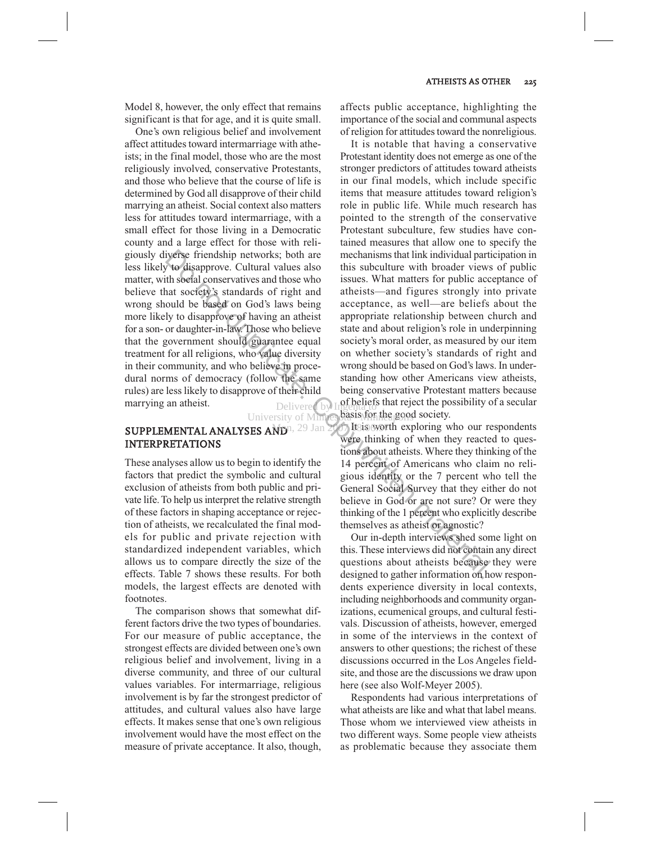Model 8, however, the only effect that remains significant is that for age, and it is quite small.

One's own religious belief and involvement affect attitudes toward intermarriage with atheists; in the final model, those who are the most religiously involved, conservative Protestants, and those who believe that the course of life is determined by God all disapprove of their child marrying an atheist. Social context also matters less for attitudes toward intermarriage, with a small effect for those living in a Democratic county and a large effect for those with religiously diverse friendship networks; both are less likely to disapprove. Cultural values also matter, with social conservatives and those who believe that society's standards of right and wrong should be based on God's laws being more likely to disapprove of having an atheist for a son- or daughter-in-law. Those who believe that the government should guarantee equal treatment for all religions, who value diversity in their community, and who believe in procedural norms of democracy (follow the same rules) are less likely to disapprove of their child marrying an atheist.

Delivered by I

## University of Minne

# SUPPLEMENTAL ANALYSES AND<sup>n, 29 Jan 2007</sup> Itsis 6wor INTERPRETATIONS

These analyses allow us to begin to identify the factors that predict the symbolic and cultural exclusion of atheists from both public and private life. To help us interpret the relative strength of these factors in shaping acceptance or rejection of atheists, we recalculated the final models for public and private rejection with standardized independent variables, which allows us to compare directly the size of the effects. Table 7 shows these results. For both models, the largest effects are denoted with footnotes.

The comparison shows that somewhat different factors drive the two types of boundaries. For our measure of public acceptance, the strongest effects are divided between one's own religious belief and involvement, living in a diverse community, and three of our cultural values variables. For intermarriage, religious involvement is by far the strongest predictor of attitudes, and cultural values also have large effects. It makes sense that one's own religious involvement would have the most effect on the measure of private acceptance. It also, though,

affects public acceptance, highlighting the importance of the social and communal aspects of religion for attitudes toward the nonreligious.

It is notable that having a conservative Protestant identity does not emerge as one of the stronger predictors of attitudes toward atheists in our final models, which include specific items that measure attitudes toward religion's role in public life. While much research has pointed to the strength of the conservative Protestant subculture, few studies have contained measures that allow one to specify the mechanisms that link individual participation in this subculture with broader views of public issues. What matters for public acceptance of atheists—and figures strongly into private acceptance, as well—are beliefs about the appropriate relationship between church and state and about religion's role in underpinning society's moral order, as measured by our item on whether society's standards of right and wrong should be based on God's laws. In understanding how other Americans view atheists, being conservative Protestant matters because of beliefs that reject the possibility of a secular basis for the good society. iverse friendship networks; both are<br>
viewe friendship networks; both are<br>
the solend conservatives and those ubis subculture with broader viewer<br>
in the solend conservatives and those who<br>
in sues. What matters for publi

Itsis worth exploring who our respondents were thinking of when they reacted to questions about atheists. Where they thinking of the 14 percent of Americans who claim no religious identity or the 7 percent who tell the General Social Survey that they either do not believe in God or are not sure? Or were they thinking of the 1 percent who explicitly describe themselves as atheist or agnostic?

Our in-depth interviews shed some light on this. These interviews did not contain any direct questions about atheists because they were designed to gather information on how respondents experience diversity in local contexts, including neighborhoods and community organizations, ecumenical groups, and cultural festivals. Discussion of atheists, however, emerged in some of the interviews in the context of answers to other questions; the richest of these discussions occurred in the Los Angeles fieldsite, and those are the discussions we draw upon here (see also Wolf-Meyer 2005).

Respondents had various interpretations of what atheists are like and what that label means. Those whom we interviewed view atheists in two different ways. Some people view atheists as problematic because they associate them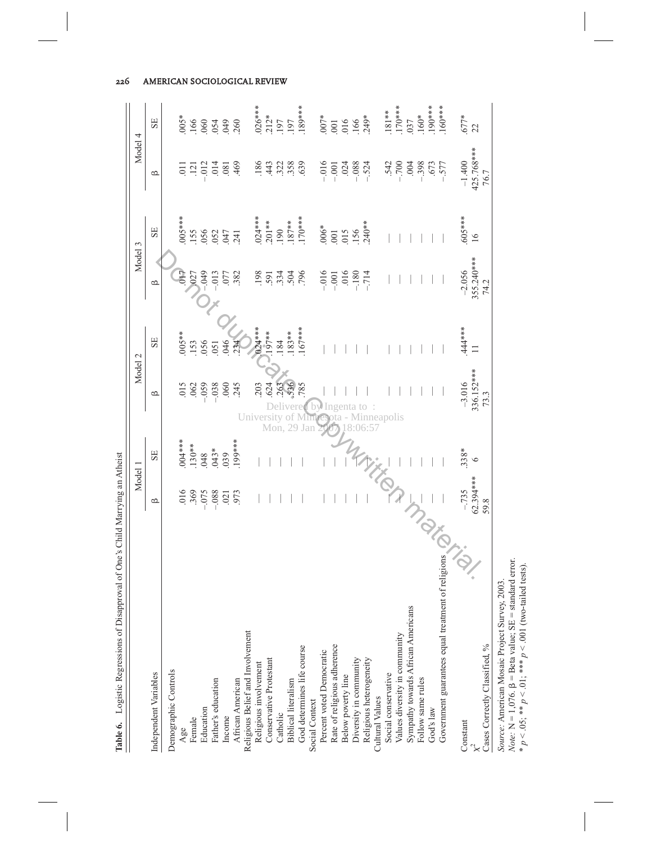|                                                                                                                                                                                            | Model 1                     |                 | Model 2                |                                | Model 3                                              |                                                                 | Model 4                                                    |                                              |
|--------------------------------------------------------------------------------------------------------------------------------------------------------------------------------------------|-----------------------------|-----------------|------------------------|--------------------------------|------------------------------------------------------|-----------------------------------------------------------------|------------------------------------------------------------|----------------------------------------------|
| Independent Variables                                                                                                                                                                      | $\circ$                     | SE              | $\circ$                | SE                             | $\circ$                                              | SE                                                              | $\circ$                                                    | SE                                           |
| Demographic Controls                                                                                                                                                                       |                             |                 |                        |                                |                                                      |                                                                 |                                                            |                                              |
| Age                                                                                                                                                                                        |                             | $004***$        |                        | $005***$                       |                                                      |                                                                 | $\overline{0}$                                             |                                              |
| Female                                                                                                                                                                                     | 016<br>369<br>375           | $.130**$<br>048 | $.015$<br>$.062$       | 153<br>056                     | CTO                                                  |                                                                 | $\overline{121}$                                           |                                              |
| Education                                                                                                                                                                                  |                             |                 | $-0.59$                |                                | $-0.49$                                              |                                                                 |                                                            |                                              |
| Father's education                                                                                                                                                                         | $-0.88$                     | $.043*$         | $-0.38$                |                                |                                                      |                                                                 |                                                            |                                              |
| Income                                                                                                                                                                                     | $.021$<br>$.973$            | 039             | $.060$<br>$.245$       | .046                           | $-0.13$<br>0.77<br>382                               | ***<br>155<br>056<br>052<br>241<br>241                          | $-012$<br>$-014$<br>$-081$                                 | $65 + 90$<br>$-160$<br>$-360$<br>$-360$      |
| African American                                                                                                                                                                           |                             | 199***          |                        | 234                            |                                                      |                                                                 | .469                                                       |                                              |
| Religious Belief and Involvement                                                                                                                                                           |                             |                 |                        |                                |                                                      |                                                                 |                                                            |                                              |
| Religious involvement                                                                                                                                                                      |                             |                 | .203<br>University of  | $.197***$<br>$.197***$<br>.184 |                                                      | $.024***$<br>$.201***$<br>$.190$<br>$.187***$<br>$.187***$      |                                                            | $.026***$<br>$.212*$<br>$.197$               |
| Conservative Protestant                                                                                                                                                                    |                             |                 | .624<br>Mon, 29        |                                | 98<br>553<br>96<br>96<br>96<br>97                    |                                                                 | $\frac{86}{4}$ $\frac{42}{3}$ $\frac{86}{3}$ $\frac{3}{6}$ |                                              |
| Catholic                                                                                                                                                                                   |                             |                 |                        |                                |                                                      |                                                                 |                                                            |                                              |
| <b>Biblical literalism</b>                                                                                                                                                                 |                             |                 | 263<br>536             | $.183***$                      |                                                      |                                                                 |                                                            | $.197$<br>$.189***$                          |
| God determines life course                                                                                                                                                                 |                             |                 | .785                   | $167***$                       |                                                      |                                                                 |                                                            |                                              |
| Social Context                                                                                                                                                                             |                             |                 | by<br>Jan              |                                |                                                      |                                                                 |                                                            |                                              |
| Percent voted Democratic                                                                                                                                                                   |                             |                 |                        |                                | $-0.16$<br>$-0.01$<br>$-0.180$<br>$-1.80$<br>$-1.80$ | $006*$<br>$0015$<br>$015$<br>$015$<br>$015$<br>$015*$<br>$015*$ | $-0.016$                                                   | $007*$<br>$0016$<br>$016$<br>$016$<br>$049*$ |
| Rate of religious adherence                                                                                                                                                                |                             |                 |                        |                                |                                                      |                                                                 |                                                            |                                              |
| Below poverty line                                                                                                                                                                         |                             |                 | Ingenta                |                                |                                                      |                                                                 |                                                            |                                              |
| Diversity in community                                                                                                                                                                     |                             |                 |                        |                                |                                                      |                                                                 |                                                            |                                              |
| Religious heterogeneity                                                                                                                                                                    |                             |                 |                        |                                |                                                      |                                                                 | $024$<br>$-088$<br>$-524$                                  |                                              |
| Cultural Values                                                                                                                                                                            | WHITE                       |                 | Minneapolis            |                                |                                                      |                                                                 |                                                            |                                              |
| Social conservative                                                                                                                                                                        |                             |                 |                        |                                |                                                      |                                                                 | $.542$<br>$-700$                                           | $.181***$<br>$.170***$<br>$.037$             |
| Values diversity in community                                                                                                                                                              |                             |                 |                        |                                |                                                      |                                                                 |                                                            |                                              |
|                                                                                                                                                                                            |                             |                 |                        |                                |                                                      |                                                                 | .004                                                       |                                              |
|                                                                                                                                                                                            |                             |                 |                        |                                |                                                      |                                                                 | $-.398$                                                    |                                              |
|                                                                                                                                                                                            |                             |                 |                        |                                |                                                      |                                                                 | $-577$                                                     |                                              |
| Government guarantees equal treatment of religions $\bigotimes_{\substack{\text{C} \text{onstant}}}^{\text{N}}$<br>$\bigotimes_{\substack{\text{2}}^{\text{C} \text{onstant}}}^{\text{N}}$ |                             |                 |                        |                                |                                                      |                                                                 |                                                            | $.160**$<br>$.190***$<br>$.160***$           |
| Constant                                                                                                                                                                                   | $-735$<br>62.394***<br>59.8 | $.338*$         | $-3.016$<br>336.152*** | $.444***$                      | $-2.056$<br>355.240***                               | ****005.                                                        | $-1.400$<br>425.768***<br>76.7                             | $.677*$                                      |
|                                                                                                                                                                                            |                             | $\circ$         |                        | $\Box$                         |                                                      | 16                                                              |                                                            |                                              |
| Cases Correctly Classified, %                                                                                                                                                              |                             |                 | 73.3                   |                                | 74.2                                                 |                                                                 |                                                            |                                              |
| Note: $N = 1,076$ . $\beta =$ Beta value; SE = standard error.<br>Source: American Mosaic Project Survey, 2003.                                                                            |                             |                 |                        |                                |                                                      |                                                                 |                                                            |                                              |
| * $p < .05$ , ** $p < .01$ ; *** $p < .001$ (two-tailed tests).                                                                                                                            |                             |                 |                        |                                |                                                      |                                                                 |                                                            |                                              |

Table 6. Logistic Regressions of Disapproval of One's Child Marrying an Atheist **Table 6.** Logistic Regressions of Disapproval of One's Child Marrying an Atheist

226—–AMERICAN SOCIOLOGICAL REVIEW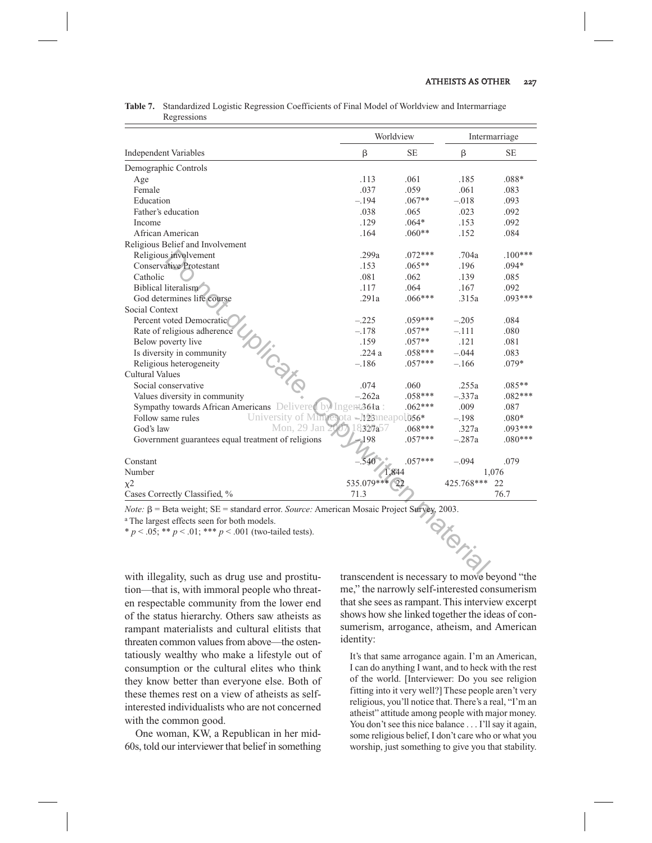|                                                                                           | Worldview                                     |           |            | Intermarriage |
|-------------------------------------------------------------------------------------------|-----------------------------------------------|-----------|------------|---------------|
| <b>Independent Variables</b>                                                              | β                                             | <b>SE</b> | β          | <b>SE</b>     |
| Demographic Controls                                                                      |                                               |           |            |               |
| Age                                                                                       | .113                                          | .061      | .185       | $.088*$       |
| Female                                                                                    | .037                                          | .059      | .061       | .083          |
| Education                                                                                 | $-.194$                                       | $.067**$  | $-.018$    | .093          |
| Father's education                                                                        | .038                                          | .065      | .023       | .092          |
| Income                                                                                    | .129                                          | $.064*$   | .153       | .092          |
| African American                                                                          | .164                                          | $.060**$  | .152       | .084          |
| Religious Belief and Involvement                                                          |                                               |           |            |               |
| Religious involvement                                                                     | .299a                                         | $.072***$ | .704a      | $.100***$     |
| <b>Conservative Protestant</b>                                                            | .153                                          | $.065**$  | .196       | $.094*$       |
| Catholic                                                                                  | .081                                          | .062      | .139       | .085          |
| Biblical literalism                                                                       | .117                                          | .064      | .167       | .092          |
| God determines life course                                                                | .291a                                         | $.066***$ | .315a      | $.093***$     |
| <b>Social Context</b>                                                                     |                                               |           |            |               |
| Percent voted Democratic                                                                  | $-.225$                                       | .059***   | $-.205$    | .084          |
| Rate of religious adherence<br>IDIicate                                                   | $-.178$                                       | $.057**$  | $-.111$    | .080          |
| Below poverty live                                                                        | .159                                          | $.057**$  | .121       | .081          |
| Is diversity in community                                                                 | .224 a                                        | $.058***$ | $-.044$    | .083          |
| Religious heterogeneity                                                                   | $-.186$                                       | $.057***$ | $-.166$    | $.079*$       |
| <b>Cultural Values</b>                                                                    |                                               |           |            |               |
| Social conservative                                                                       | .074                                          | .060      | .255a      | $.085**$      |
| Values diversity in community                                                             | $-.262a$                                      | $.058***$ | $-.337a$   | $.082***$     |
| Sympathy towards African Americans Delivered by Ingent36ta:                               |                                               | $.062***$ | .009       | .087          |
| University of Minnesota - Minneapolo56*<br>Follow same rules                              |                                               |           | $-.198$    | $.080*$       |
| Mon, 29 Jan<br>God's law                                                                  | 8327a57                                       | $.068***$ | .327a      | $.093***$     |
| Government guarantees equal treatment of religions                                        | $-198$                                        | $.057***$ | $-.287a$   | $.080***$     |
|                                                                                           |                                               |           |            |               |
| Constant                                                                                  | 540                                           | $.057***$ | $-.094$    | .079          |
| Number                                                                                    |                                               |           |            | 1,076         |
| $x^2$                                                                                     | 535.079***                                    |           | 425.768*** | 22            |
| Cases Correctly Classified, %                                                             | 71.3                                          |           |            | 76.7          |
| Note: β = Beta weight; SE = standard error. Source: American Mosaic Project Survey, 2003. |                                               |           |            |               |
| <sup>a</sup> The largest effects seen for both models.                                    |                                               |           |            |               |
| * $p < .05$ ; ** $p < .01$ ; *** $p < .001$ (two-tailed tests).                           |                                               |           |            |               |
|                                                                                           |                                               |           |            |               |
|                                                                                           |                                               |           | 19terig    |               |
|                                                                                           |                                               |           |            |               |
| with illegality, such as drug use and prostitu-                                           | transcendent is necessary to move beyond "the |           |            |               |

**Table 7.** Standardized Logistic Regression Coefficients of Final Model of Worldview and Intermarriage Regressions

with illegality, such as drug use and prostitution—that is, with immoral people who threaten respectable community from the lower end of the status hierarchy. Others saw atheists as rampant materialists and cultural elitists that threaten common values from above—the ostentatiously wealthy who make a lifestyle out of consumption or the cultural elites who think they know better than everyone else. Both of these themes rest on a view of atheists as selfinterested individualists who are not concerned with the common good.

One woman, KW, a Republican in her mid-60s, told our interviewer that belief in something transcendent is necessary to move beyond "the me," the narrowly self-interested consumerism that she sees as rampant. This interview excerpt shows how she linked together the ideas of consumerism, arrogance, atheism, and American identity:

It's that same arrogance again. I'm an American, I can do anything I want, and to heck with the rest of the world. [Interviewer: Do you see religion fitting into it very well?] These people aren't very religious, you'll notice that. There's a real, "I'm an atheist" attitude among people with major money. You don't see this nice balance ... I'll say it again, some religious belief, I don't care who or what you worship, just something to give you that stability.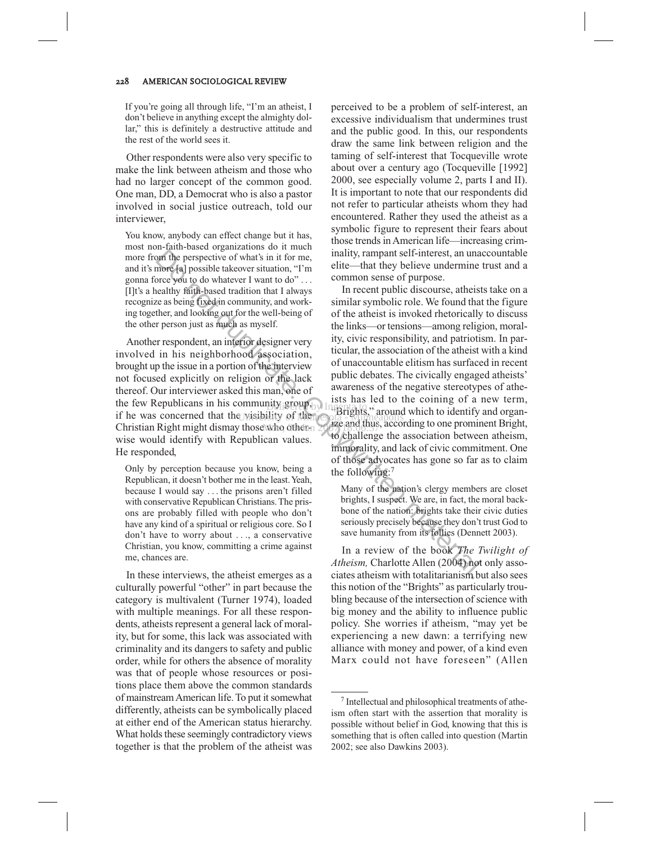If you're going all through life, "I'm an atheist, I don't believe in anything except the almighty dollar," this is definitely a destructive attitude and the rest of the world sees it.

Other respondents were also very specific to make the link between atheism and those who had no larger concept of the common good. One man, DD, a Democrat who is also a pastor involved in social justice outreach, told our interviewer,

You know, anybody can effect change but it has, most non-faith-based organizations do it much more from the perspective of what's in it for me, and it's more [a] possible takeover situation, "I'm gonna force you to do whatever I want to do" ... [I]t's a healthy faith-based tradition that I always recognize as being fixed in community, and working together, and looking out for the well-being of the other person just as much as myself.

Another respondent, an interior designer very involved in his neighborhood association, brought up the issue in a portion of the interview not focused explicitly on religion or the lack thereof. Our interviewer asked this man, one of the few Republicans in his community group, if he was concerned that the visibility of the  $\frac{Brynms}{\sqrt{Brynes}}$ , around Christian Right might dismay those who otherm  $2002$  and thus wise would identify with Republican values. He responded,

Only by perception because you know, being a Republican, it doesn't bother me in the least. Yeah, because I would say ... the prisons aren't filled with conservative Republican Christians. The prisons are probably filled with people who don't have any kind of a spiritual or religious core. So I don't have to worry about ..., a conservative Christian, you know, committing a crime against me, chances are.

In these interviews, the atheist emerges as a culturally powerful "other" in part because the category is multivalent (Turner 1974), loaded with multiple meanings. For all these respondents, atheists represent a general lack of morality, but for some, this lack was associated with criminality and its dangers to safety and public order, while for others the absence of morality was that of people whose resources or positions place them above the common standards of mainstream American life. To put it somewhat differently, atheists can be symbolically placed at either end of the American status hierarchy. What holds these seemingly contradictory views together is that the problem of the atheist was perceived to be a problem of self-interest, an excessive individualism that undermines trust and the public good. In this, our respondents draw the same link between religion and the taming of self-interest that Tocqueville wrote about over a century ago (Tocqueville [1992] 2000, see especially volume 2, parts I and II). It is important to note that our respondents did not refer to particular atheists whom they had encountered. Rather they used the atheist as a symbolic figure to represent their fears about those trends in American life—increasing criminality, rampant self-interest, an unaccountable elite—that they believe undermine trust and a common sense of purpose.

In recent public discourse, atheists take on a similar symbolic role. We found that the figure of the atheist is invoked rhetorically to discuss the links—or tensions—among religion, morality, civic responsibility, and patriotism. In particular, the association of the atheist with a kind of unaccountable elitism has surfaced in recent public debates. The civically engaged atheists' awareness of the negative stereotypes of atheists has led to the coining of a new term,  $\frac{1}{\text{B}}$  is the state of the collinear of the state of the  $\frac{1}{\text{B}}$  ingents," around which to identify and organize and thus, according to one prominent Bright, to challenge the association between atheism, immorality, and lack of civic commitment. One of those advocates has gone so far as to claim the following:7 Do the state of what's in it for me,<br>
indity, rampart self-interest, an una<br>
interestation of the state thy believe undermine<br>
core you to do whatever situation, "The elited-that they believe undermine<br>
cealthy faith-base

Many of the nation's clergy members are closet brights, I suspect. We are, in fact, the moral backbone of the nation: brights take their civic duties seriously precisely because they don't trust God to save humanity from its follies (Dennett 2003).

In a review of the book *The Twilight of Atheism,* Charlotte Allen (2004) not only associates atheism with totalitarianism but also sees this notion of the "Brights" as particularly troubling because of the intersection of science with big money and the ability to influence public policy. She worries if atheism, "may yet be experiencing a new dawn: a terrifying new alliance with money and power, of a kind even Marx could not have foreseen" (Allen

<sup>7</sup> Intellectual and philosophical treatments of atheism often start with the assertion that morality is possible without belief in God, knowing that this is something that is often called into question (Martin 2002; see also Dawkins 2003).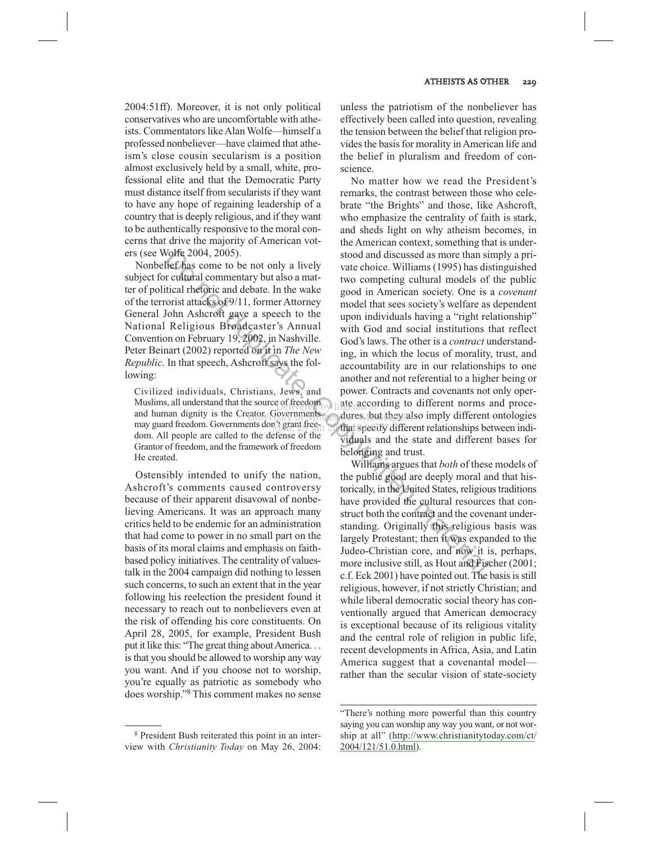2004:51ff). Moreover, it is not only political conservatives who are uncomfortable with atheists. Commentators like Alan Wolfe—himself a professed nonbeliever—have claimed that atheism's close cousin secularism is a position almost exclusively held by a small, white, professional elite and that the Democratic Party must distance itself from secularists if they want to have any hope of regaining leadership of a country that is deeply religious, and if they want to be authentically responsive to the moral concerns that drive the majority of American voters (see Wolfe 2004, 2005).

Nonbelief has come to be not only a lively subject for cultural commentary but also a matter of political rhetoric and debate. In the wake of the terrorist attacks of 9/11, former Attorney General John Ashcroft gave a speech to the National Religious Broadcaster's Annual Convention on February 19, 2002, in Nashville. Peter Beinart (2002) reported on it in *The New Republic.* In that speech, Ashcroft says the following:

Civilized individuals, Christians, Jews, and Muslims, all understand that the source of freedom and human dignity is the Creator. Governments may guard freedom. Governments don't grant freedom. All people are called to the defense of the Grantor of freedom, and the framework of freedom He created.

Ostensibly intended to unify the nation, Ashcroft's comments caused controversy because of their apparent disavowal of nonbelieving Americans. It was an approach many critics held to be endemic for an administration that had come to power in no small part on the basis of its moral claims and emphasis on faithbased policy initiatives. The centrality of valuestalk in the 2004 campaign did nothing to lessen such concerns, to such an extent that in the year following his reelection the president found it necessary to reach out to nonbelievers even at the risk of offending his core constituents. On April 28, 2005, for example, President Bush put it like this: "The great thing about America. . . is that you should be allowed to worship any way you want. And if you choose not to worship, you're equally as patriotic as somebody who does worship."<sup>8</sup> This comment makes no sense

unless the patriotism of the nonbeliever has effectively been called into question, revealing the tension between the belief that religion provides the basis for morality in American life and the belief in pluralism and freedom of conscience.

No matter how we read the President's remarks, the contrast between those who celebrate "the Brights" and those, like Ashcroft, who emphasize the centrality of faith is stark, and sheds light on why atheism becomes, in the American context, something that is understood and discussed as more than simply a private choice. Williams (1995) has distinguished two competing cultural models of the public good in American society. One is a *covenant* model that sees society's welfare as dependent upon individuals having a "right relationship" with God and social institutions that reflect God's laws. The other is a *contract* understanding, in which the locus of morality, trust, and accountability are in our relationships to one another and not referential to a higher being or power. Contracts and covenants not only operate according to different norms and proceeator, Governments and dures, but they also imply different ontologies M gram tree. 20 that specify different relationships between individuals and the state and different bases for belonging and trust. Note 2004, 2005).<br>
Stood and discussed as more than single follows to the the solution of the threat commentary but also a matrical reflorior and debate. In the wake<br>
the competing cultural models of the commentary but al

Williams argues that *both* of these models of the public good are deeply moral and that historically, in the United States, religious traditions have provided the cultural resources that construct both the contract and the covenant understanding. Originally this religious basis was largely Protestant; then it was expanded to the Judeo-Christian core, and now it is, perhaps, more inclusive still, as Hout and Fischer (2001; c.f. Eck 2001) have pointed out. The basis is still religious, however, if not strictly Christian; and while liberal democratic social theory has conventionally argued that American democracy is exceptional because of its religious vitality and the central role of religion in public life, recent developments in Africa, Asia, and Latin America suggest that a covenantal model rather than the secular vision of state-society

<sup>8</sup> President Bush reiterated this point in an interview with *Christianity Today* on May 26, 2004:

<sup>&</sup>quot;There's nothing more powerful than this country saying you can worship any way you want, or not worship at all" [\(http://www.christianitytoday.com/ct/](http://www.christianitytoday.com/ct/2004/121/51.0.html) [2004/121/51.0.html\)](http://www.christianitytoday.com/ct/2004/121/51.0.html).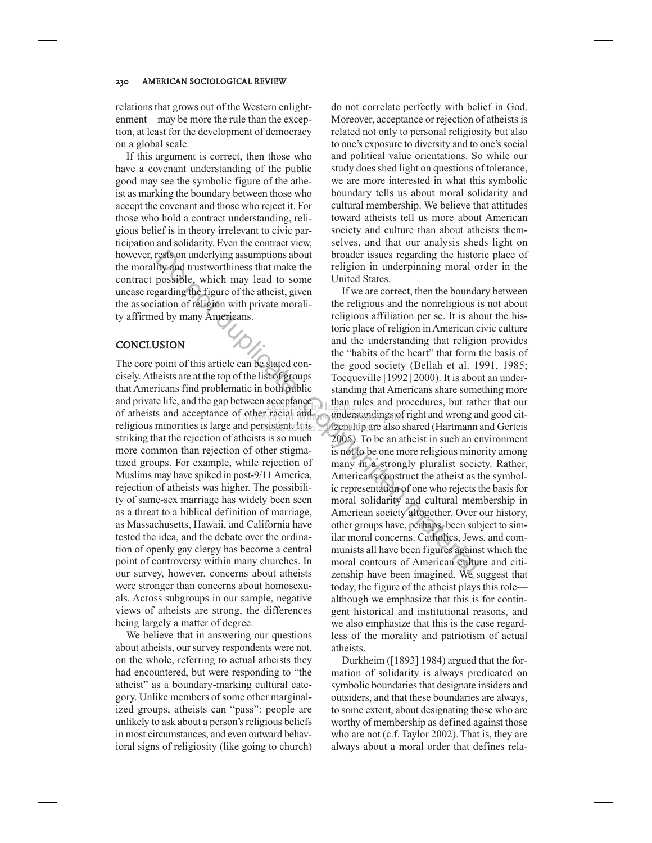relations that grows out of the Western enlightenment—may be more the rule than the exception, at least for the development of democracy on a global scale.

If this argument is correct, then those who have a covenant understanding of the public good may see the symbolic figure of the atheist as marking the boundary between those who accept the covenant and those who reject it. For those who hold a contract understanding, religious belief is in theory irrelevant to civic participation and solidarity. Even the contract view, however, rests on underlying assumptions about the morality and trustworthiness that make the contract possible, which may lead to some unease regarding the figure of the atheist, given the association of religion with private morality affirmed by many Americans.

# **CONCLUSION**

The core point of this article can be stated concisely. Atheists are at the top of the list of groups that Americans find problematic in both public and private life, and the gap between acceptance of atheists and acceptance of other racial and religious minorities is large and persistent. It is striking that the rejection of atheists is so much more common than rejection of other stigmatized groups. For example, while rejection of Muslims may have spiked in post-9/11 America, rejection of atheists was higher. The possibility of same-sex marriage has widely been seen as a threat to a biblical definition of marriage, as Massachusetts, Hawaii, and California have tested the idea, and the debate over the ordination of openly gay clergy has become a central point of controversy within many churches. In our survey, however, concerns about atheists were stronger than concerns about homosexuals. Across subgroups in our sample, negative views of atheists are strong, the differences being largely a matter of degree.

We believe that in answering our questions about atheists, our survey respondents were not, on the whole, referring to actual atheists they had encountered, but were responding to "the atheist" as a boundary-marking cultural category. Unlike members of some other marginalized groups, atheists can "pass": people are unlikely to ask about a person's religious beliefs in most circumstances, and even outward behavioral signs of religiosity (like going to church)

do not correlate perfectly with belief in God. Moreover, acceptance or rejection of atheists is related not only to personal religiosity but also to one's exposure to diversity and to one's social and political value orientations. So while our study does shed light on questions of tolerance, we are more interested in what this symbolic boundary tells us about moral solidarity and cultural membership. We believe that attitudes toward atheists tell us more about American society and culture than about atheists themselves, and that our analysis sheds light on broader issues regarding the historic place of religion in underpinning moral order in the United States.

If we are correct, then the boundary between the religious and the nonreligious is not about religious affiliation per se. It is about the historic place of religion in American civic culture and the understanding that religion provides the "habits of the heart" that form the basis of the good society (Bellah et al. 1991, 1985; Tocqueville [1992] 2000). It is about an understanding that Americans share something more acceptance I<sub>Delivered</sub> by Informal procedures, but rather that our f other racial and essunderstandings of right and wrong and good citrsistent. It is  $\frac{1}{20}$  dzenskip are also shared (Hartmann and Gerteis 2005). To be an atheist in such an environment is not to be one more religious minority among many in a strongly pluralist society. Rather, Americans construct the atheist as the symbolic representation of one who rejects the basis for moral solidarity and cultural membership in American society altogether. Over our history, other groups have, perhaps, been subject to similar moral concerns. Catholics, Jews, and communists all have been figures against which the moral contours of American culture and citizenship have been imagined. We suggest that today, the figure of the atheist plays this role although we emphasize that this is for contingent historical and institutional reasons, and we also emphasize that this is the case regardless of the morality and patriotism of actual atheists. rests on underlying assumptions about<br>
throader issues regarding the histor<br>
thy and trustvorthiness that make the<br>
religion in underpinning moral on<br>
possible, which may lead to some United States.<br>
Earlingthe figure of t

Durkheim ([1893] 1984) argued that the formation of solidarity is always predicated on symbolic boundaries that designate insiders and outsiders, and that these boundaries are always, to some extent, about designating those who are worthy of membership as defined against those who are not (c.f. Taylor 2002). That is, they are always about a moral order that defines rela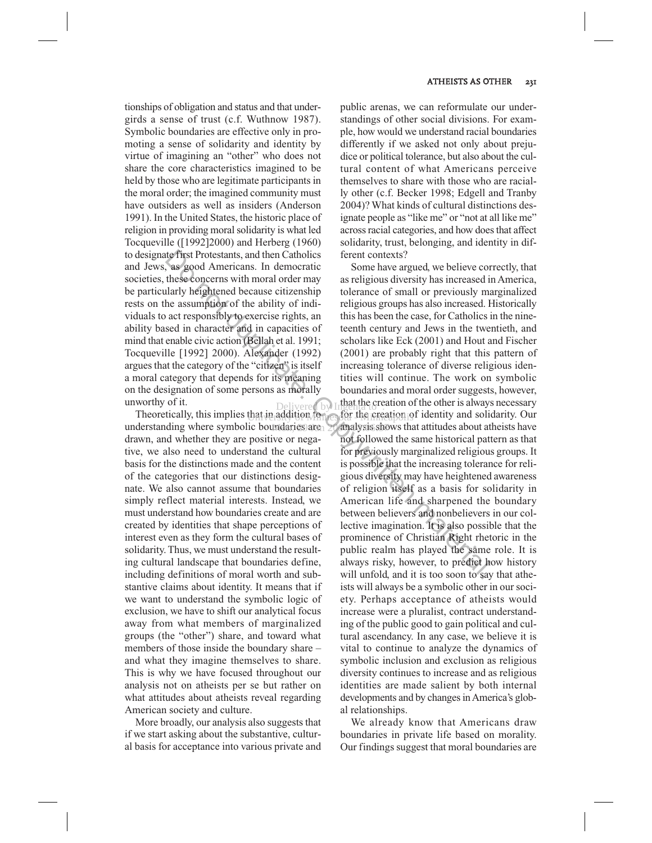tionships of obligation and status and that undergirds a sense of trust (c.f. Wuthnow 1987). Symbolic boundaries are effective only in promoting a sense of solidarity and identity by virtue of imagining an "other" who does not share the core characteristics imagined to be held by those who are legitimate participants in the moral order; the imagined community must have outsiders as well as insiders (Anderson 1991). In the United States, the historic place of religion in providing moral solidarity is what led Tocqueville ([1992]2000) and Herberg (1960) to designate first Protestants, and then Catholics and Jews, as good Americans. In democratic societies, these concerns with moral order may be particularly heightened because citizenship rests on the assumption of the ability of individuals to act responsibly to exercise rights, an ability based in character and in capacities of mind that enable civic action (Bellah et al. 1991; Tocqueville [1992] 2000). Alexander (1992) argues that the category of the "citizen" is itself a moral category that depends for its meaning on the designation of some persons as morally unworthy of it. Delivered by I

Theoretically, this implies that in addition to for the creation of understanding where symbolic boundaries are 20 analysis sho drawn, and whether they are positive or negative, we also need to understand the cultural basis for the distinctions made and the content of the categories that our distinctions designate. We also cannot assume that boundaries simply reflect material interests. Instead, we must understand how boundaries create and are created by identities that shape perceptions of interest even as they form the cultural bases of solidarity. Thus, we must understand the resulting cultural landscape that boundaries define, including definitions of moral worth and substantive claims about identity. It means that if we want to understand the symbolic logic of exclusion, we have to shift our analytical focus away from what members of marginalized groups (the "other") share, and toward what members of those inside the boundary share – and what they imagine themselves to share. This is why we have focused throughout our analysis not on atheists per se but rather on what attitudes about atheists reveal regarding American society and culture.

More broadly, our analysis also suggests that if we start asking about the substantive, cultural basis for acceptance into various private and

public arenas, we can reformulate our understandings of other social divisions. For example, how would we understand racial boundaries differently if we asked not only about prejudice or political tolerance, but also about the cultural content of what Americans perceive themselves to share with those who are racially other (c.f. Becker 1998; Edgell and Tranby 2004)? What kinds of cultural distinctions designate people as "like me" or "not at all like me" across racial categories, and how does that affect solidarity, trust, belonging, and identity in different contexts?

Some have argued, we believe correctly, that as religious diversity has increased in America, tolerance of small or previously marginalized religious groups has also increased. Historically this has been the case, for Catholics in the nineteenth century and Jews in the twentieth, and scholars like Eck (2001) and Hout and Fischer (2001) are probably right that this pattern of increasing tolerance of diverse religious identities will continue. The work on symbolic boundaries and moral order suggests, however, that the creation of the other is always necessary for the creation of identity and solidarity. Our analysis shows that attitudes about atheists have not followed the same historical pattern as that for previously marginalized religious groups. It is possible that the increasing tolerance for religious diversity may have heightened awareness of religion itself as a basis for solidarity in American life and sharpened the boundary between believers and nonbelievers in our collective imagination. It is also possible that the prominence of Christian Right rhetoric in the public realm has played the same role. It is always risky, however, to predict how history will unfold, and it is too soon to say that atheists will always be a symbolic other in our society. Perhaps acceptance of atheists would increase were a pluralist, contract understanding of the public good to gain political and cultural ascendancy. In any case, we believe it is vital to continue to analyze the dynamics of symbolic inclusion and exclusion as religious diversity continues to increase and as religious identities are made salient by both internal developments and by changes in America's global relationships. te first Protestants, and then Catholics ferent contexts?<br>
as good Americans. In democratic Some have argued, we believe conductions are good measure and the samplication these doncerns with moral order any as religious di

We already know that Americans draw boundaries in private life based on morality. Our findings suggest that moral boundaries are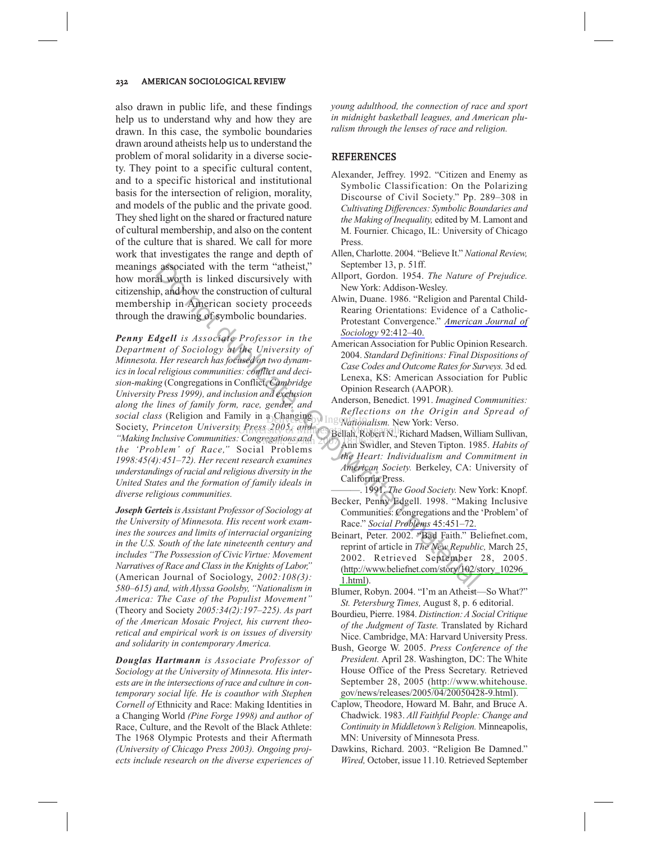also drawn in public life, and these findings help us to understand why and how they are drawn. In this case, the symbolic boundaries drawn around atheists help us to understand the problem of moral solidarity in a diverse society. They point to a specific cultural content, and to a specific historical and institutional basis for the intersection of religion, morality, and models of the public and the private good. They shed light on the shared or fractured nature of cultural membership, and also on the content of the culture that is shared. We call for more work that investigates the range and depth of meanings associated with the term "atheist," how moral worth is linked discursively with citizenship, and how the construction of cultural membership in American society proceeds through the drawing of symbolic boundaries.

*Penny Edgell is Associate Professor in the Department of Sociology at the University of Minnesota. Her research has focused on two dynamics in local religious communities: conflict and decision-making* (Congregations in Conflict, *Cambridge University Press 1999), and inclusion and exclusion along the lines of family form, race, gender, and social class* (Religion and Family in a Changing Society, *Princeton University Press 2005, and "Making Inclusive Communities: Congregations and the 'Problem' of Race,"* Social Problems *1998:45(4):451–72). Her recent research examines understandings of racial and religious diversity in the United States and the formation of family ideals in diverse religious communities.* associated with the term "atheist,"<br>
Alport, Gordon. 1954. The Nature of<br>
allytort, Gordon. 1954. The Nature of<br>
allytort, Gordon. 1954. The Nature of<br>
p. and how the construction of cultural<br>
New York: Addison-Wesley.<br>
h

*Joseph Gerteis is Assistant Professor of Sociology at the University of Minnesota. His recent work examines the sources and limits of interracial organizing in the U.S. South of the late nineteenth century and includes "The Possession of Civic Virtue: Movement Narratives of Race and Class in the Knights of Labor,"* (American Journal of Sociology, *2002:108(3): 580–615) and, with Alyssa Goolsby, "Nationalism in America: The Case of the Populist Movement"* (Theory and Society *2005:34(2):197–225). As part of the American Mosaic Project, his current theoretical and empirical work is on issues of diversity and solidarity in contemporary America.*

*Douglas Hartmann is Associate Professor of Sociology at the University of Minnesota. His interests are in the intersections of race and culture in contemporary social life. He is coauthor with Stephen Cornell of* Ethnicity and Race: Making Identities in a Changing World *(Pine Forge 1998) and author of* Race, Culture, and the Revolt of the Black Athlete: The 1968 Olympic Protests and their Aftermath *(University of Chicago Press 2003). Ongoing projects include research on the diverse experiences of* *young adulthood, the connection of race and sport in midnight basketball leagues, and American pluralism through the lenses of race and religion.* 

#### REFERENCES

- Alexander, Jeffrey. 1992. "Citizen and Enemy as Symbolic Classification: On the Polarizing Discourse of Civil Society." Pp. 289–308 in *Cultivating Differences: Symbolic Boundaries and the Making of Inequality,* edited by M. Lamont and M. Fournier. Chicago, IL: University of Chicago Press.
- Allen, Charlotte. 2004. "Believe It." *National Review,* September 13, p. 51ff.
- Allport, Gordon. 1954. *The Nature of Prejudice.* New York: Addison-Wesley.
- Alwin, Duane. 1986. "Religion and Parental Child-Rearing Orientations: Evidence of a Catholic-Protestant Convergence." *[American Journal of](http://www.ingentaconnect.com/content/external-references?article=0002-9602()92L.412[aid=301855]) Sociology* 92:412–40.
- American Association for Public Opinion Research. 2004. *Standard Definitions: Final Dispositions of Case Codes and Outcome Rates for Surveys.* 3d ed*.* Lenexa, KS: American Association for Public Opinion Research (AAPOR).
- Anderson, Benedict. 1991. *Imagined Communities: Reflections on the Origin and Spread of* **Nationalism.** New York: Verso.
- Press 2005, and<br>Congregations and Bellah, Robert N., Richard Madsen, William Sullivan,
	- Ann Swidler, and Steven Tipton. 1985. *Habits of the Heart: Individualism and Commitment in American Society.* Berkeley, CA: University of California Press.
	- ———. 1991. *The Good Society.* New York: Knopf.
	- Becker, Penny Edgell. 1998. "Making Inclusive Communities: Congregations and the 'Problem'of Race." *Social Problems* 45:451–72.
	- Beinart, Peter. 2002. "Bad Faith." Beliefnet.com, reprint of article in *The New Republic,* March 25, 2002. Retrieved September 28, 2005. [\(http://www.beliefnet.com/story/102/story\\_10296\\_](http://www.beliefnet.com/story/102/story_10296_1.html) 1.html).
	- Blumer, Robyn. 2004. "I'm an Atheist—So What?" *St. Petersburg Times,* August 8, p. 6 editorial.
	- Bourdieu, Pierre. 1984. *Distinction: A Social Critique of the Judgment of Taste.* Translated by Richard Nice. Cambridge, MA: Harvard University Press.
	- Bush, George W. 2005. *Press Conference of the President.* April 28. Washington, DC: The White House Office of the Press Secretary. Retrieved September 28, 2005 ([http://www.whitehouse.](http://www.whitehouse.gov/news/releases/2005/04/20050428-9.html) [gov/news/releases/2005/04/20050428-9.html\)](http://www.whitehouse.gov/news/releases/2005/04/20050428-9.html).
	- Caplow, Theodore, Howard M. Bahr, and Bruce A. Chadwick. 1983. *All Faithful People: Change and Continuity in Middletown's Religion.* Minneapolis, MN: University of Minnesota Press.
	- Dawkins, Richard. 2003. "Religion Be Damned." *Wired,* October, issue 11.10. Retrieved September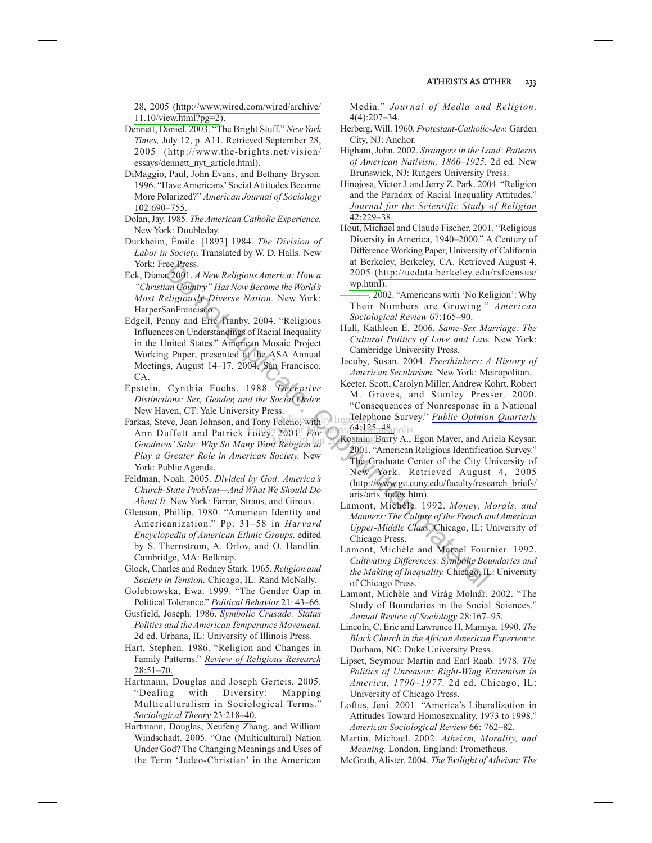28, 2005 [\(http://www.wired.com/wired/archive/](http://www.wired.com/wired/archive/11.10/view.html?pg=2) [11.10/view.html?pg=2\)](http://www.wired.com/wired/archive/11.10/view.html?pg=2).

- Dennett, Daniel. 2003. "The Bright Stuff." *New York Times,* July 12, p. A11. Retrieved September 28, 2005 [\(http://www.the-brights.net/vision/](http://www.the-brights.net/vision/essays/dennett_nyt_article.html) [essays/dennett\\_nyt\\_article.html](http://www.the-brights.net/vision/essays/dennett_nyt_article.html)).
- DiMaggio, Paul, John Evans, and Bethany Bryson. 1996. "Have Americans'Social Attitudes Become More Polarized?" *[American Journal of Sociology](http://www.ingentaconnect.com/content/external-references?article=0002-9602()102L.690[aid=4932334])* [102:690–755.](http://www.ingentaconnect.com/content/external-references?article=0002-9602()102L.690[aid=4932334])
- Dolan, Jay. 1985. *The American Catholic Experience.* New York: Doubleday.
- Durkheim, Èmile. [1893] 1984. *The Division of Labor in Society.* Translated by W. D. Halls. New York: Free Press.
- Eck, Diana. 2001. *A New Religious America: How a "Christian Country" Has Now Become the World's Most Religiously Diverse Nation.* New York: HarperSanFrancisco.
- Edgell, Penny and Eric Tranby. 2004. "Religious Influences on Understandings of Racial Inequality in the United States." American Mosaic Project Working Paper, presented at the ASA Annual Meetings, August 14–17, 2004, San Francisco, CA. Expresses and State Probability Pierra (Presses and State Probability And Religious America: How a<br>
2005 (http://ucdata.berkeley.edu)<br>
an Coupry" Has Now Become the World's<br>
eligious  $\frac{1}{2002}$ . "Americans with 'No Reli
- Epstein, Cynthia Fuchs. 1988. *Deceptive Distinctions: Sex, Gender, and the Social Order.* New Haven, CT: Yale University Press.
- Farkas, Steve, Jean Johnson, and Tony Foleno, with Ann Duffett and Patrick Foley. 2001. *For Goodness' Sake: Why So Many Want Religion to Play a Greater Role in American Society.* New York: Public Agenda. Phile Point, while sota 64:1425 designals
- Feldman, Noah. 2005. *Divided by God: America's Church-State Problem—And What We Should Do About It.* New York: Farrar, Straus, and Giroux.
- Gleason, Phillip. 1980. "American Identity and Americanization." Pp. 31–58 in *H*a*rvard Encyclopedia of American Ethnic Groups,* edited by S. Thernstrom, A. Orlov, and O. Handlin*.* Cambridge, MA: Belknap.
- Glock, Charles and Rodney Stark. 1965. *Religion and Society in Tension.* Chicago, IL: Rand McNally.
- Golebiowska, Ewa. 1999. "The Gender Gap in Political Tolerance." *[Political Behavior](http://www.ingentaconnect.com/content/external-references?article=0190-9320()21L.43[aid=7290042])* 21: 43–66.
- Gusfield, Joseph. 1986. *Symbolic Crusade: Status Politics and the American Temperance Movement.* 2d ed. Urbana, IL: University of Illinois Press.
- Hart, Stephen. 1986. "Religion and Changes in Family Patterns." *[Review of Religious Research](http://www.ingentaconnect.com/content/external-references?article=0034-673X()28L.51[aid=7290041])* [28:51–70.](http://www.ingentaconnect.com/content/external-references?article=0034-673X()28L.51[aid=7290041])
- Hartmann, Douglas and Joseph Gerteis. 2005. "Dealing with Diversity: Mapping Multiculturalism in Sociological Terms*." [Sociological Theory](http://www.ingentaconnect.com/content/external-references?article=0735-2751()23L.218[aid=7290044])* 23:218–40.
- Hartmann, Douglas, Xeufeng Zhang, and William Windschadt. 2005. "One (Multicultural) Nation Under God? The Changing Meanings and Uses of the Term 'Judeo-Christian' in the American

Media." *Journal of Media and Religion,* 4(4):207–34.

- Herberg, Will. 1960. *Protestant-Catholic-Jew.* Garden City, NJ: Anchor.
- Higham, John. 2002. *Strangers in the Land: Patterns of American Nativism, 1860–1925.* 2d ed. New Brunswick, NJ: Rutgers University Press.
- Hinojosa, Victor J. and Jerry Z. Park. 2004. "Religion and the Paradox of Racial Inequality Attitudes." *[Journal for the Scientific Study of Religion](http://www.ingentaconnect.com/content/external-references?article=0021-8294()42L.229[aid=5811509])* [42:229–38.](http://www.ingentaconnect.com/content/external-references?article=0021-8294()42L.229[aid=5811509])
- Hout, Michael and Claude Fischer. 2001. "Religious Diversity in America, 1940–2000." A Century of Difference Working Paper, University of California at Berkeley, Berkeley, CA. Retrieved August 4, 2005 ([http://ucdata.berkeley.edu/rsfcensus/](http://ucdata.berkeley.edu/rsfcensus/wp.html) wp.html).
	- ———. 2002. "Americans with 'No Religion': Why Their Numbers are Growing." *American Sociological Review* 67:165–90.
- Hull, Kathleen E. 2006. *Same-Sex Marriage: The Cultural Politics of Love and Law.* New York: Cambridge University Press.
- Jacoby, Susan. 2004. *Freethinkers: A History of American Secularism.* New York: Metropolitan.
- Keeter, Scott, Carolyn Miller, Andrew Kohrt, Robert M. Groves, and Stanley Presser. 2000. "Consequences of Nonresponse in a National **Telephone Survey.**" *[Public Opinion Quarterly](http://www.ingentaconnect.com/content/external-references?article=0033-362X()64L.125[aid=6974857])*
- $\frac{1}{R}$   $\frac{20 \text{ N}}{8}$   $\frac{1}{20}$   $\frac{1}{8}$   $\frac{1}{8}$   $\frac{1}{8}$   $\frac{1}{8}$   $\frac{1}{8}$   $\frac{1}{8}$   $\frac{1}{8}$   $\frac{1}{8}$   $\frac{1}{8}$   $\frac{1}{8}$   $\frac{1}{8}$   $\frac{1}{8}$   $\frac{1}{8}$   $\frac{1}{8}$   $\frac{1}{8}$   $\frac{1}{8}$   $\frac{1}{8}$   $\frac{1}{8}$   $\frac{$ 2001. "American Religious Identification Survey."
	- The Graduate Center of the City University of New York. Retrieved August 4, 2005 [\(http://www.gc.cuny.edu/faculty/research\\_briefs/](http://www.gc.cuny.edu/faculty/research_briefs/aris/aris_index.htm) aris/aris\_index.htm).
	- Lamont, Michèle. 1992. *Money, Morals, and Manners: The Culture of the French and American Upper-Middle Class.* Chicago, IL: University of Chicago Press.
	- Lamont, Michèle and Marcel Fournier. 1992. *Cultivating Differences: Symbolic Boundaries and the Making of Inequality.* Chicago, IL: University of Chicago Press.
	- Lamont, Michèle and Virág Molnár. 2002. "The Study of Boundaries in the Social Sciences." *Annual Review of Sociology* 28:167–95.
	- Lincoln, C. Eric and Lawrence H. Mamiya. 1990. *The Black Church in the African American Experience.* Durham, NC: Duke University Press.
	- Lipset, Seymour Martin and Earl Raab. 1978. *The Politics of Unreason: Right-Wing Extremism in America, 1790–1977.* 2d ed. Chicago, IL: University of Chicago Press.
	- Loftus, Jeni. 2001. "America's Liberalization in Attitudes Toward Homosexuality, 1973 to 1998." *American Sociological Review* 66: 762–82.
	- Martin, Michael. 2002. *Atheism, Morality, and Meaning.* London, England: Prometheus.
	- McGrath, Alister. 2004. *The Twilight of Atheism: The*